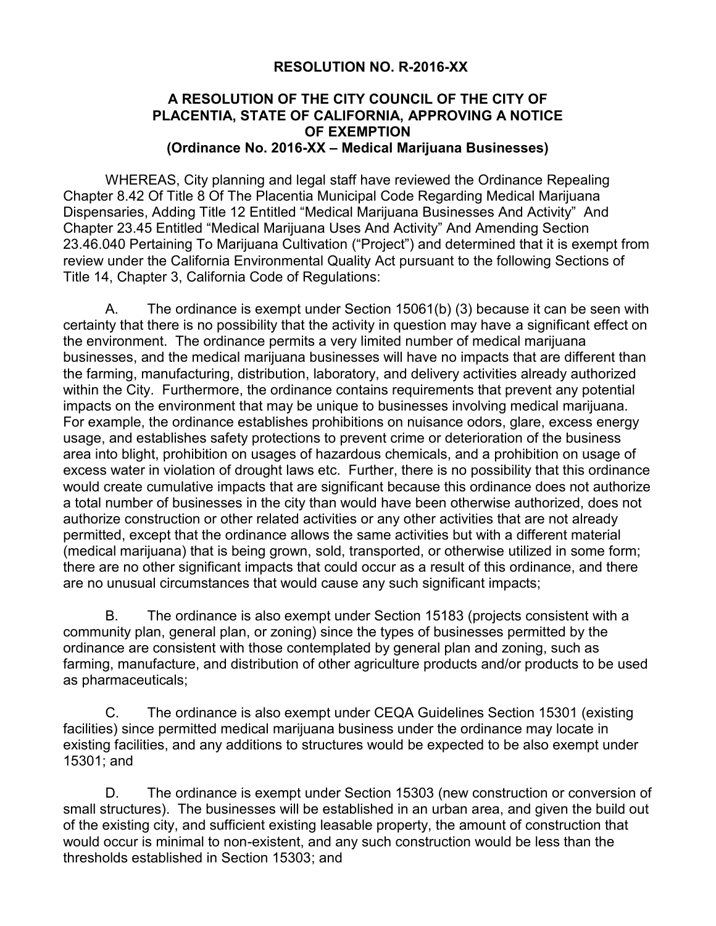#### **RESOLUTION NO. R-2016-XX**

# **A RESOLUTION OF THE CITY COUNCIL OF THE CITY OF PLACENTIA, STATE OF CALIFORNIA, APPROVING A NOTICE OF EXEMPTION (Ordinance No. 2016-XX – Medical Marijuana Businesses)**

WHEREAS, City planning and legal staff have reviewed the Ordinance Repealing Chapter 8.42 Of Title 8 Of The Placentia Municipal Code Regarding Medical Marijuana Dispensaries, Adding Title 12 Entitled "Medical Marijuana Businesses And Activity" And Chapter 23.45 Entitled "Medical Marijuana Uses And Activity" And Amending Section 23.46.040 Pertaining To Marijuana Cultivation ("Project") and determined that it is exempt from review under the California Environmental Quality Act pursuant to the following Sections of Title 14, Chapter 3, California Code of Regulations:

A. The ordinance is exempt under Section 15061(b) (3) because it can be seen with certainty that there is no possibility that the activity in question may have a significant effect on the environment. The ordinance permits a very limited number of medical marijuana businesses, and the medical marijuana businesses will have no impacts that are different than the farming, manufacturing, distribution, laboratory, and delivery activities already authorized within the City. Furthermore, the ordinance contains requirements that prevent any potential impacts on the environment that may be unique to businesses involving medical marijuana. For example, the ordinance establishes prohibitions on nuisance odors, glare, excess energy usage, and establishes safety protections to prevent crime or deterioration of the business area into blight, prohibition on usages of hazardous chemicals, and a prohibition on usage of excess water in violation of drought laws etc. Further, there is no possibility that this ordinance would create cumulative impacts that are significant because this ordinance does not authorize a total number of businesses in the city than would have been otherwise authorized, does not authorize construction or other related activities or any other activities that are not already permitted, except that the ordinance allows the same activities but with a different material (medical marijuana) that is being grown, sold, transported, or otherwise utilized in some form; there are no other significant impacts that could occur as a result of this ordinance, and there are no unusual circumstances that would cause any such significant impacts;

B. The ordinance is also exempt under Section 15183 (projects consistent with a community plan, general plan, or zoning) since the types of businesses permitted by the ordinance are consistent with those contemplated by general plan and zoning, such as farming, manufacture, and distribution of other agriculture products and/or products to be used as pharmaceuticals;

C. The ordinance is also exempt under CEQA Guidelines Section 15301 (existing facilities) since permitted medical marijuana business under the ordinance may locate in existing facilities, and any additions to structures would be expected to be also exempt under 15301; and

D. The ordinance is exempt under Section 15303 (new construction or conversion of small structures). The businesses will be established in an urban area, and given the build out of the existing city, and sufficient existing leasable property, the amount of construction that would occur is minimal to non-existent, and any such construction would be less than the thresholds established in Section 15303; and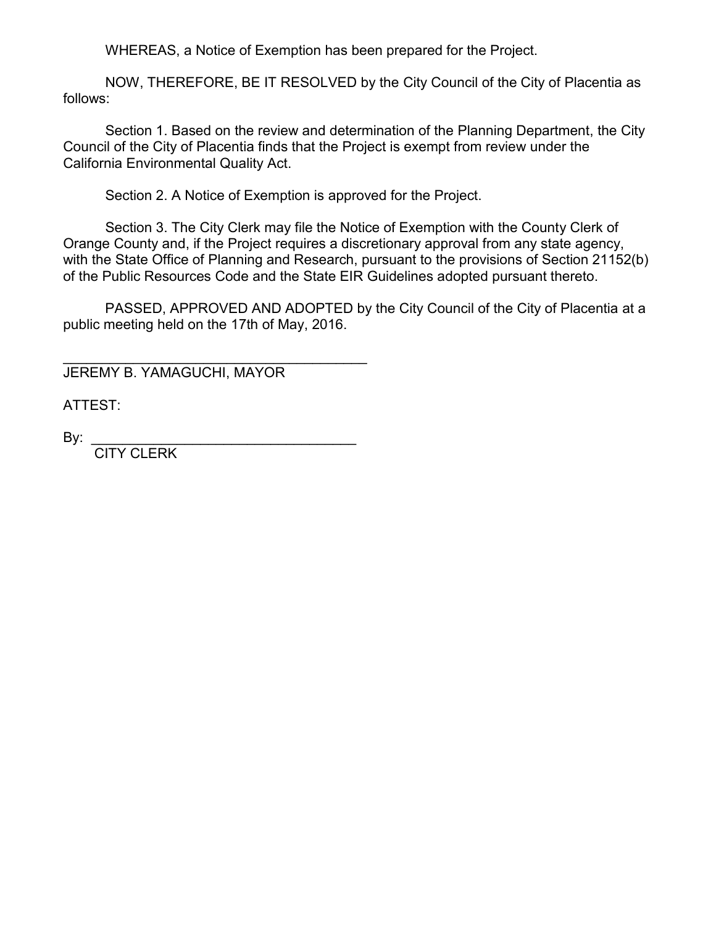WHEREAS, a Notice of Exemption has been prepared for the Project.

NOW, THEREFORE, BE IT RESOLVED by the City Council of the City of Placentia as follows:

Section 1. Based on the review and determination of the Planning Department, the City Council of the City of Placentia finds that the Project is exempt from review under the California Environmental Quality Act.

Section 2. A Notice of Exemption is approved for the Project.

Section 3. The City Clerk may file the Notice of Exemption with the County Clerk of Orange County and, if the Project requires a discretionary approval from any state agency, with the State Office of Planning and Research, pursuant to the provisions of Section 21152(b) of the Public Resources Code and the State EIR Guidelines adopted pursuant thereto.

PASSED, APPROVED AND ADOPTED by the City Council of the City of Placentia at a public meeting held on the 17th of May, 2016.

\_\_\_\_\_\_\_\_\_\_\_\_\_\_\_\_\_\_\_\_\_\_\_\_\_\_\_\_\_\_\_\_\_\_\_\_\_\_\_ JEREMY B. YAMAGUCHI, MAYOR

ATTEST:

By:  $\qquad \qquad \blacksquare$ 

CITY CLERK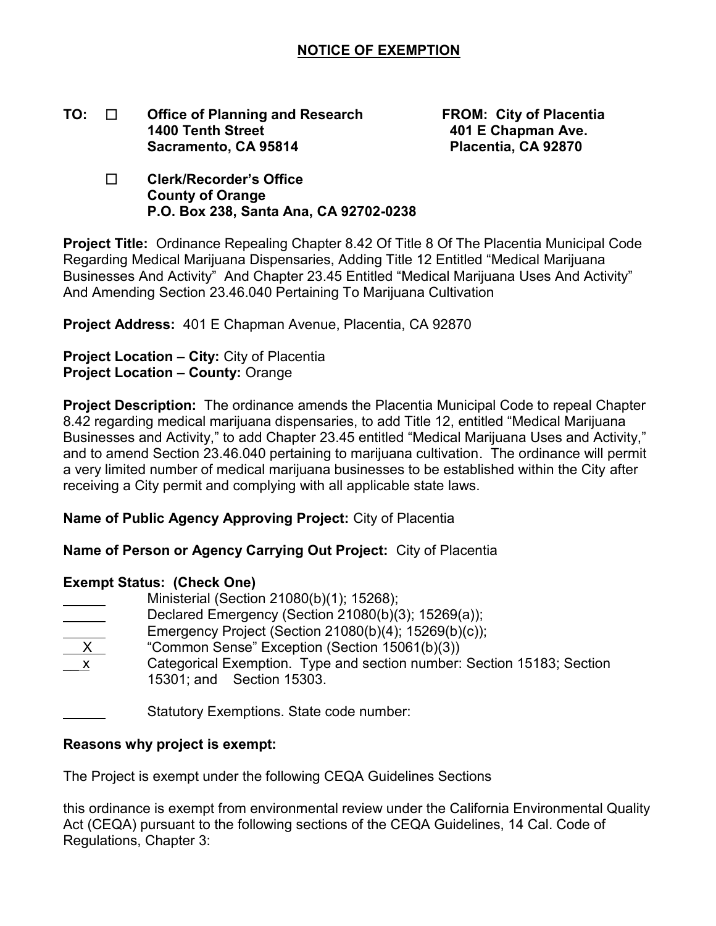#### **TO: Office of Planning and Research FROM: City of Placentia 1400 Tenth Street 401 E Chapman Ave.**  Sacramento, CA 95814 Placentia, CA 92870

 **Clerk/Recorder's Office County of Orange P.O. Box 238, Santa Ana, CA 92702-0238** 

**Project Title:** Ordinance Repealing Chapter 8.42 Of Title 8 Of The Placentia Municipal Code Regarding Medical Marijuana Dispensaries, Adding Title 12 Entitled "Medical Marijuana Businesses And Activity" And Chapter 23.45 Entitled "Medical Marijuana Uses And Activity" And Amending Section 23.46.040 Pertaining To Marijuana Cultivation

**Project Address:** 401 E Chapman Avenue, Placentia, CA 92870

**Project Location – City:** City of Placentia **Project Location – County:** Orange

**Project Description:** The ordinance amends the Placentia Municipal Code to repeal Chapter 8.42 regarding medical marijuana dispensaries, to add Title 12, entitled "Medical Marijuana Businesses and Activity," to add Chapter 23.45 entitled "Medical Marijuana Uses and Activity," and to amend Section 23.46.040 pertaining to marijuana cultivation. The ordinance will permit a very limited number of medical marijuana businesses to be established within the City after receiving a City permit and complying with all applicable state laws.

**Name of Public Agency Approving Project:** City of Placentia

**Name of Person or Agency Carrying Out Project:** City of Placentia

#### **Exempt Status: (Check One)**

| Ministerial (Section 21080(b)(1); 15268);                              |
|------------------------------------------------------------------------|
| Declared Emergency (Section 21080(b)(3); $15269(a)$ );                 |
| Emergency Project (Section 21080(b)(4); 15269(b)(c));                  |
| "Common Sense" Exception (Section 15061(b)(3))                         |
| Categorical Exemption. Type and section number: Section 15183; Section |
| 15301; and Section 15303.                                              |
|                                                                        |

Statutory Exemptions. State code number:

#### **Reasons why project is exempt:**

The Project is exempt under the following CEQA Guidelines Sections

this ordinance is exempt from environmental review under the California Environmental Quality Act (CEQA) pursuant to the following sections of the CEQA Guidelines, 14 Cal. Code of Regulations, Chapter 3: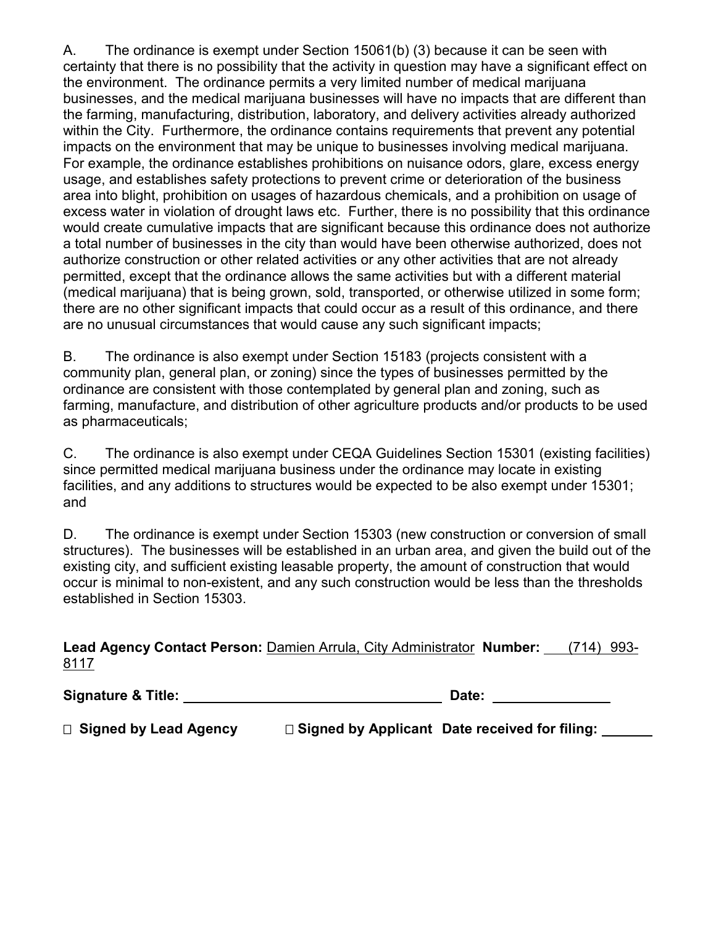A. The ordinance is exempt under Section 15061(b) (3) because it can be seen with certainty that there is no possibility that the activity in question may have a significant effect on the environment. The ordinance permits a very limited number of medical marijuana businesses, and the medical marijuana businesses will have no impacts that are different than the farming, manufacturing, distribution, laboratory, and delivery activities already authorized within the City. Furthermore, the ordinance contains requirements that prevent any potential impacts on the environment that may be unique to businesses involving medical marijuana. For example, the ordinance establishes prohibitions on nuisance odors, glare, excess energy usage, and establishes safety protections to prevent crime or deterioration of the business area into blight, prohibition on usages of hazardous chemicals, and a prohibition on usage of excess water in violation of drought laws etc. Further, there is no possibility that this ordinance would create cumulative impacts that are significant because this ordinance does not authorize a total number of businesses in the city than would have been otherwise authorized, does not authorize construction or other related activities or any other activities that are not already permitted, except that the ordinance allows the same activities but with a different material (medical marijuana) that is being grown, sold, transported, or otherwise utilized in some form; there are no other significant impacts that could occur as a result of this ordinance, and there are no unusual circumstances that would cause any such significant impacts;

B. The ordinance is also exempt under Section 15183 (projects consistent with a community plan, general plan, or zoning) since the types of businesses permitted by the ordinance are consistent with those contemplated by general plan and zoning, such as farming, manufacture, and distribution of other agriculture products and/or products to be used as pharmaceuticals;

C. The ordinance is also exempt under CEQA Guidelines Section 15301 (existing facilities) since permitted medical marijuana business under the ordinance may locate in existing facilities, and any additions to structures would be expected to be also exempt under 15301; and

D. The ordinance is exempt under Section 15303 (new construction or conversion of small structures). The businesses will be established in an urban area, and given the build out of the existing city, and sufficient existing leasable property, the amount of construction that would occur is minimal to non-existent, and any such construction would be less than the thresholds established in Section 15303.

**Lead Agency Contact Person:** Damien Arrula, City Administrator **Number:** (714) 993- 8117

**Signature & Title:**  $\qquad \qquad$  **Date:**  $\qquad \qquad$ 

 **Signed by Lead Agency Signed by Applicant Date received for filing:**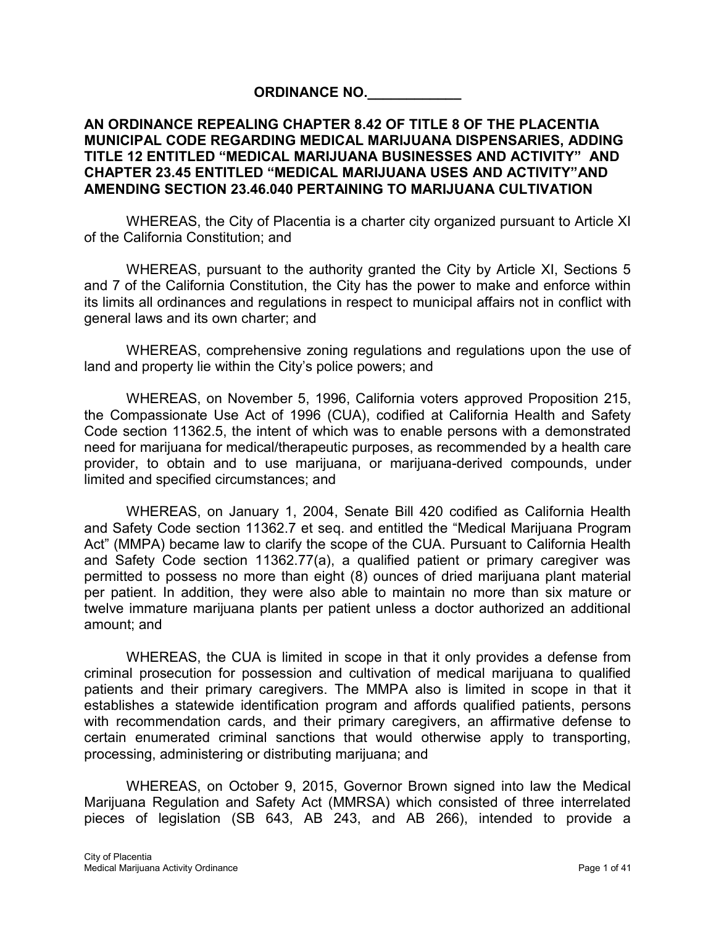#### **ORDINANCE NO.\_\_\_\_\_\_\_\_\_\_\_\_**

#### **AN ORDINANCE REPEALING CHAPTER 8.42 OF TITLE 8 OF THE PLACENTIA MUNICIPAL CODE REGARDING MEDICAL MARIJUANA DISPENSARIES, ADDING TITLE 12 ENTITLED "MEDICAL MARIJUANA BUSINESSES AND ACTIVITY" AND CHAPTER 23.45 ENTITLED "MEDICAL MARIJUANA USES AND ACTIVITY"AND AMENDING SECTION 23.46.040 PERTAINING TO MARIJUANA CULTIVATION**

WHEREAS, the City of Placentia is a charter city organized pursuant to Article XI of the California Constitution; and

WHEREAS, pursuant to the authority granted the City by Article XI, Sections 5 and 7 of the California Constitution, the City has the power to make and enforce within its limits all ordinances and regulations in respect to municipal affairs not in conflict with general laws and its own charter; and

WHEREAS, comprehensive zoning regulations and regulations upon the use of land and property lie within the City's police powers; and

WHEREAS, on November 5, 1996, California voters approved Proposition 215, the Compassionate Use Act of 1996 (CUA), codified at California Health and Safety Code section 11362.5, the intent of which was to enable persons with a demonstrated need for marijuana for medical/therapeutic purposes, as recommended by a health care provider, to obtain and to use marijuana, or marijuana-derived compounds, under limited and specified circumstances; and

WHEREAS, on January 1, 2004, Senate Bill 420 codified as California Health and Safety Code section 11362.7 et seq. and entitled the "Medical Marijuana Program Act" (MMPA) became law to clarify the scope of the CUA. Pursuant to California Health and Safety Code section 11362.77(a), a qualified patient or primary caregiver was permitted to possess no more than eight (8) ounces of dried marijuana plant material per patient. In addition, they were also able to maintain no more than six mature or twelve immature marijuana plants per patient unless a doctor authorized an additional amount; and

WHEREAS, the CUA is limited in scope in that it only provides a defense from criminal prosecution for possession and cultivation of medical marijuana to qualified patients and their primary caregivers. The MMPA also is limited in scope in that it establishes a statewide identification program and affords qualified patients, persons with recommendation cards, and their primary caregivers, an affirmative defense to certain enumerated criminal sanctions that would otherwise apply to transporting, processing, administering or distributing marijuana; and

WHEREAS, on October 9, 2015, Governor Brown signed into law the Medical Marijuana Regulation and Safety Act (MMRSA) which consisted of three interrelated pieces of legislation (SB 643, AB 243, and AB 266), intended to provide a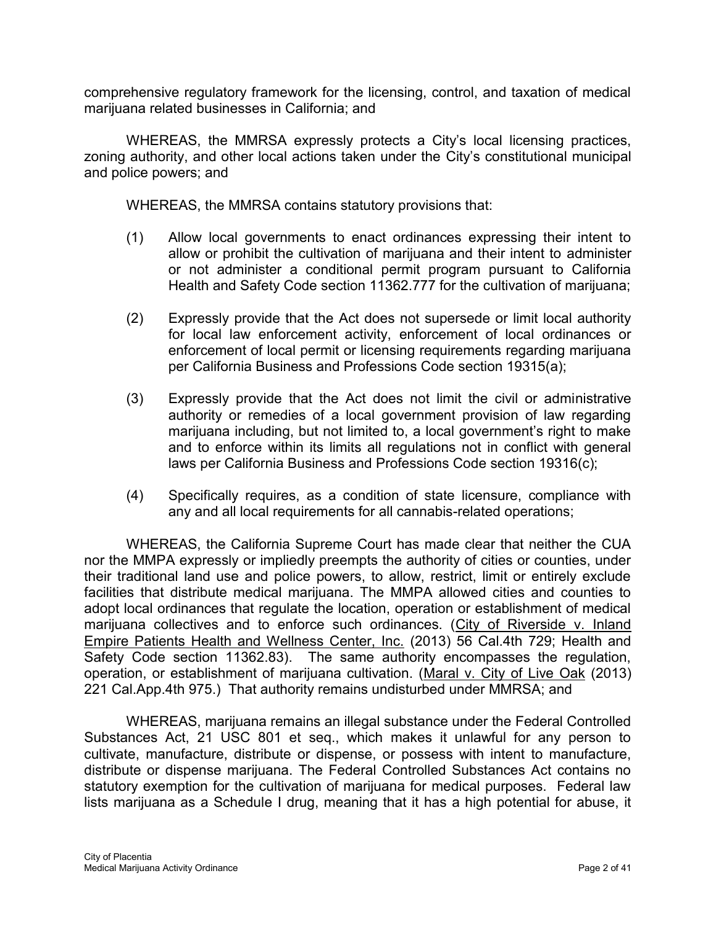comprehensive regulatory framework for the licensing, control, and taxation of medical marijuana related businesses in California; and

WHEREAS, the MMRSA expressly protects a City's local licensing practices, zoning authority, and other local actions taken under the City's constitutional municipal and police powers; and

WHEREAS, the MMRSA contains statutory provisions that:

- (1) Allow local governments to enact ordinances expressing their intent to allow or prohibit the cultivation of marijuana and their intent to administer or not administer a conditional permit program pursuant to California Health and Safety Code section 11362.777 for the cultivation of marijuana;
- (2) Expressly provide that the Act does not supersede or limit local authority for local law enforcement activity, enforcement of local ordinances or enforcement of local permit or licensing requirements regarding marijuana per California Business and Professions Code section 19315(a);
- (3) Expressly provide that the Act does not limit the civil or administrative authority or remedies of a local government provision of law regarding marijuana including, but not limited to, a local government's right to make and to enforce within its limits all regulations not in conflict with general laws per California Business and Professions Code section 19316(c);
- (4) Specifically requires, as a condition of state licensure, compliance with any and all local requirements for all cannabis-related operations;

WHEREAS, the California Supreme Court has made clear that neither the CUA nor the MMPA expressly or impliedly preempts the authority of cities or counties, under their traditional land use and police powers, to allow, restrict, limit or entirely exclude facilities that distribute medical marijuana. The MMPA allowed cities and counties to adopt local ordinances that regulate the location, operation or establishment of medical marijuana collectives and to enforce such ordinances. (City of Riverside v. Inland Empire Patients Health and Wellness Center, Inc. (2013) 56 Cal.4th 729; Health and Safety Code section 11362.83). The same authority encompasses the regulation, operation, or establishment of marijuana cultivation. (Maral v. City of Live Oak (2013) 221 Cal.App.4th 975.) That authority remains undisturbed under MMRSA; and

WHEREAS, marijuana remains an illegal substance under the Federal Controlled Substances Act, 21 USC 801 et seq., which makes it unlawful for any person to cultivate, manufacture, distribute or dispense, or possess with intent to manufacture, distribute or dispense marijuana. The Federal Controlled Substances Act contains no statutory exemption for the cultivation of marijuana for medical purposes. Federal law lists marijuana as a Schedule I drug, meaning that it has a high potential for abuse, it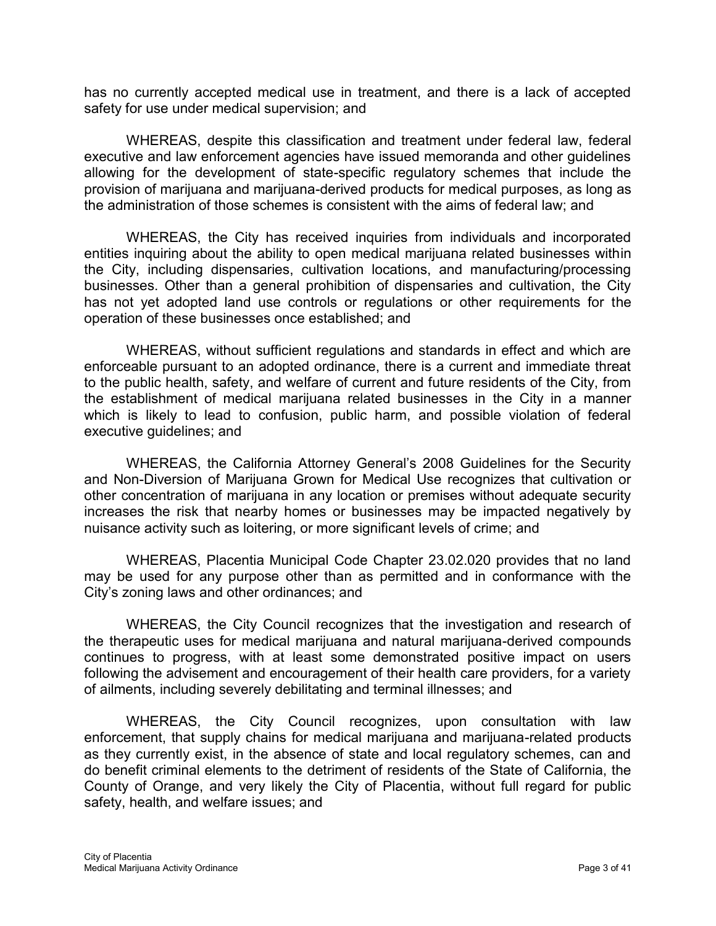has no currently accepted medical use in treatment, and there is a lack of accepted safety for use under medical supervision; and

WHEREAS, despite this classification and treatment under federal law, federal executive and law enforcement agencies have issued memoranda and other guidelines allowing for the development of state-specific regulatory schemes that include the provision of marijuana and marijuana-derived products for medical purposes, as long as the administration of those schemes is consistent with the aims of federal law; and

WHEREAS, the City has received inquiries from individuals and incorporated entities inquiring about the ability to open medical marijuana related businesses within the City, including dispensaries, cultivation locations, and manufacturing/processing businesses. Other than a general prohibition of dispensaries and cultivation, the City has not yet adopted land use controls or regulations or other requirements for the operation of these businesses once established; and

WHEREAS, without sufficient regulations and standards in effect and which are enforceable pursuant to an adopted ordinance, there is a current and immediate threat to the public health, safety, and welfare of current and future residents of the City, from the establishment of medical marijuana related businesses in the City in a manner which is likely to lead to confusion, public harm, and possible violation of federal executive guidelines; and

WHEREAS, the California Attorney General's 2008 Guidelines for the Security and Non-Diversion of Marijuana Grown for Medical Use recognizes that cultivation or other concentration of marijuana in any location or premises without adequate security increases the risk that nearby homes or businesses may be impacted negatively by nuisance activity such as loitering, or more significant levels of crime; and

WHEREAS, Placentia Municipal Code Chapter 23.02.020 provides that no land may be used for any purpose other than as permitted and in conformance with the City's zoning laws and other ordinances; and

WHEREAS, the City Council recognizes that the investigation and research of the therapeutic uses for medical marijuana and natural marijuana-derived compounds continues to progress, with at least some demonstrated positive impact on users following the advisement and encouragement of their health care providers, for a variety of ailments, including severely debilitating and terminal illnesses; and

WHEREAS, the City Council recognizes, upon consultation with law enforcement, that supply chains for medical marijuana and marijuana-related products as they currently exist, in the absence of state and local regulatory schemes, can and do benefit criminal elements to the detriment of residents of the State of California, the County of Orange, and very likely the City of Placentia, without full regard for public safety, health, and welfare issues; and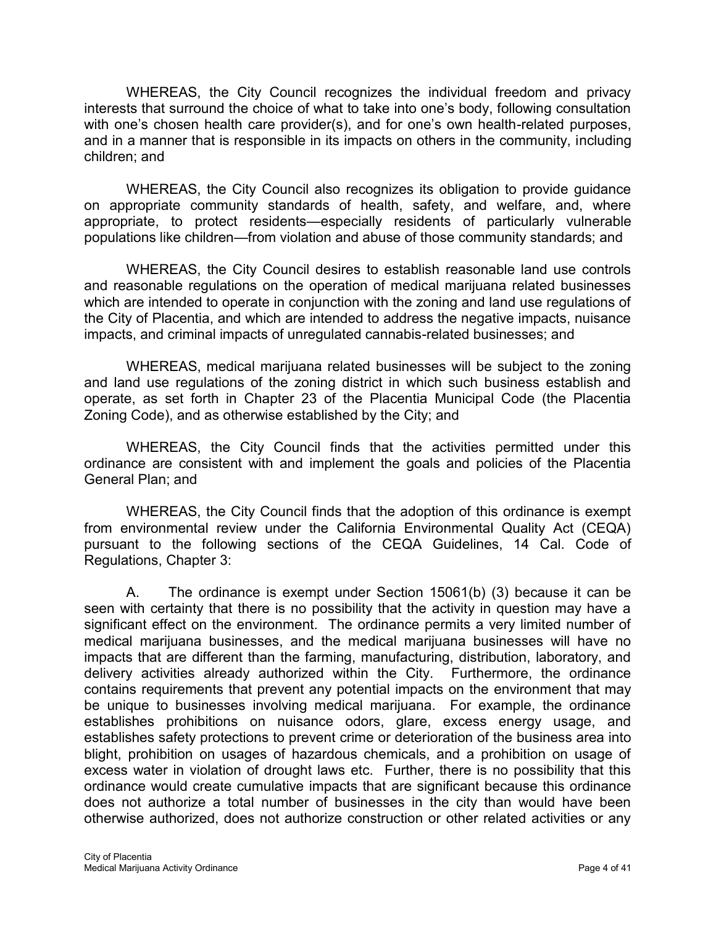WHEREAS, the City Council recognizes the individual freedom and privacy interests that surround the choice of what to take into one's body, following consultation with one's chosen health care provider(s), and for one's own health-related purposes, and in a manner that is responsible in its impacts on others in the community, including children; and

WHEREAS, the City Council also recognizes its obligation to provide guidance on appropriate community standards of health, safety, and welfare, and, where appropriate, to protect residents—especially residents of particularly vulnerable populations like children—from violation and abuse of those community standards; and

WHEREAS, the City Council desires to establish reasonable land use controls and reasonable regulations on the operation of medical marijuana related businesses which are intended to operate in conjunction with the zoning and land use regulations of the City of Placentia, and which are intended to address the negative impacts, nuisance impacts, and criminal impacts of unregulated cannabis-related businesses; and

WHEREAS, medical marijuana related businesses will be subject to the zoning and land use regulations of the zoning district in which such business establish and operate, as set forth in Chapter 23 of the Placentia Municipal Code (the Placentia Zoning Code), and as otherwise established by the City; and

WHEREAS, the City Council finds that the activities permitted under this ordinance are consistent with and implement the goals and policies of the Placentia General Plan; and

WHEREAS, the City Council finds that the adoption of this ordinance is exempt from environmental review under the California Environmental Quality Act (CEQA) pursuant to the following sections of the CEQA Guidelines, 14 Cal. Code of Regulations, Chapter 3:

A. The ordinance is exempt under Section 15061(b) (3) because it can be seen with certainty that there is no possibility that the activity in question may have a significant effect on the environment. The ordinance permits a very limited number of medical marijuana businesses, and the medical marijuana businesses will have no impacts that are different than the farming, manufacturing, distribution, laboratory, and delivery activities already authorized within the City. Furthermore, the ordinance contains requirements that prevent any potential impacts on the environment that may be unique to businesses involving medical marijuana. For example, the ordinance establishes prohibitions on nuisance odors, glare, excess energy usage, and establishes safety protections to prevent crime or deterioration of the business area into blight, prohibition on usages of hazardous chemicals, and a prohibition on usage of excess water in violation of drought laws etc. Further, there is no possibility that this ordinance would create cumulative impacts that are significant because this ordinance does not authorize a total number of businesses in the city than would have been otherwise authorized, does not authorize construction or other related activities or any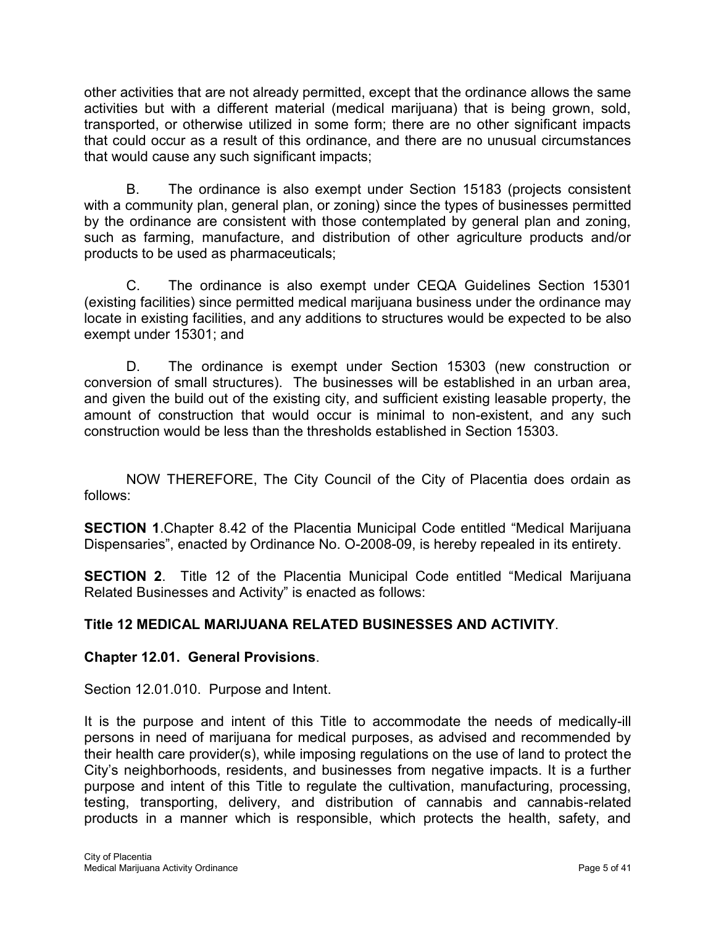other activities that are not already permitted, except that the ordinance allows the same activities but with a different material (medical marijuana) that is being grown, sold, transported, or otherwise utilized in some form; there are no other significant impacts that could occur as a result of this ordinance, and there are no unusual circumstances that would cause any such significant impacts;

B. The ordinance is also exempt under Section 15183 (projects consistent with a community plan, general plan, or zoning) since the types of businesses permitted by the ordinance are consistent with those contemplated by general plan and zoning, such as farming, manufacture, and distribution of other agriculture products and/or products to be used as pharmaceuticals;

C. The ordinance is also exempt under CEQA Guidelines Section 15301 (existing facilities) since permitted medical marijuana business under the ordinance may locate in existing facilities, and any additions to structures would be expected to be also exempt under 15301; and

D. The ordinance is exempt under Section 15303 (new construction or conversion of small structures). The businesses will be established in an urban area, and given the build out of the existing city, and sufficient existing leasable property, the amount of construction that would occur is minimal to non-existent, and any such construction would be less than the thresholds established in Section 15303.

NOW THEREFORE, The City Council of the City of Placentia does ordain as follows:

**SECTION 1**.Chapter 8.42 of the Placentia Municipal Code entitled "Medical Marijuana Dispensaries", enacted by Ordinance No. O-2008-09, is hereby repealed in its entirety.

**SECTION 2.** Title 12 of the Placentia Municipal Code entitled "Medical Marijuana Related Businesses and Activity" is enacted as follows:

# **Title 12 MEDICAL MARIJUANA RELATED BUSINESSES AND ACTIVITY**.

# **Chapter 12.01. General Provisions**.

Section 12.01.010. Purpose and Intent.

It is the purpose and intent of this Title to accommodate the needs of medically-ill persons in need of marijuana for medical purposes, as advised and recommended by their health care provider(s), while imposing regulations on the use of land to protect the City's neighborhoods, residents, and businesses from negative impacts. It is a further purpose and intent of this Title to regulate the cultivation, manufacturing, processing, testing, transporting, delivery, and distribution of cannabis and cannabis-related products in a manner which is responsible, which protects the health, safety, and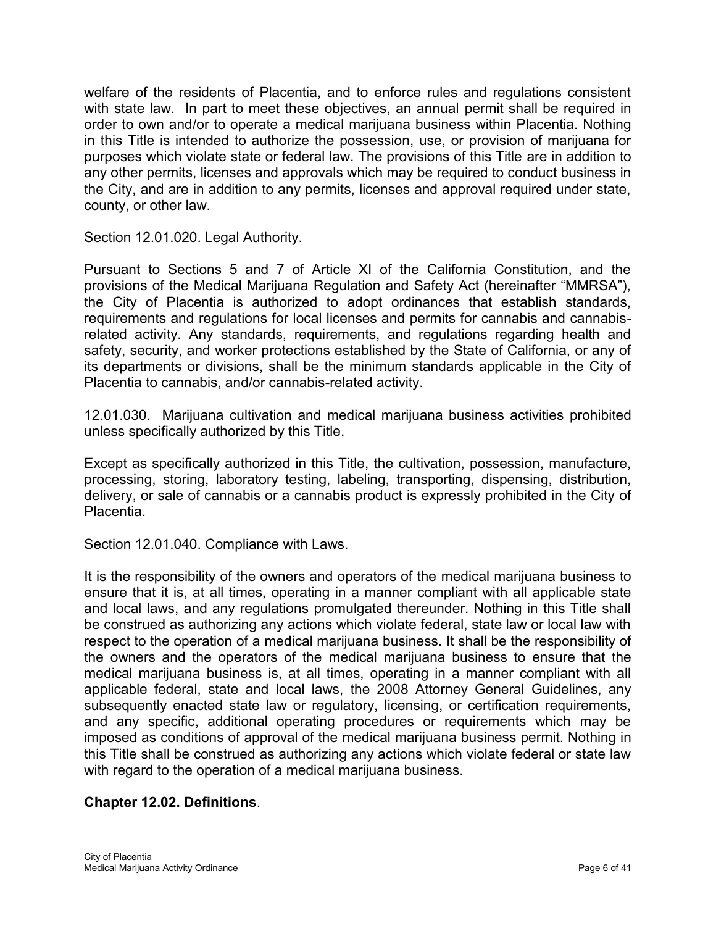welfare of the residents of Placentia, and to enforce rules and regulations consistent with state law. In part to meet these objectives, an annual permit shall be required in order to own and/or to operate a medical marijuana business within Placentia. Nothing in this Title is intended to authorize the possession, use, or provision of marijuana for purposes which violate state or federal law. The provisions of this Title are in addition to any other permits, licenses and approvals which may be required to conduct business in the City, and are in addition to any permits, licenses and approval required under state, county, or other law.

Section 12.01.020. Legal Authority.

Pursuant to Sections 5 and 7 of Article XI of the California Constitution, and the provisions of the Medical Marijuana Regulation and Safety Act (hereinafter "MMRSA"), the City of Placentia is authorized to adopt ordinances that establish standards, requirements and regulations for local licenses and permits for cannabis and cannabisrelated activity. Any standards, requirements, and regulations regarding health and safety, security, and worker protections established by the State of California, or any of its departments or divisions, shall be the minimum standards applicable in the City of Placentia to cannabis, and/or cannabis-related activity.

12.01.030. Marijuana cultivation and medical marijuana business activities prohibited unless specifically authorized by this Title.

Except as specifically authorized in this Title, the cultivation, possession, manufacture, processing, storing, laboratory testing, labeling, transporting, dispensing, distribution, delivery, or sale of cannabis or a cannabis product is expressly prohibited in the City of Placentia.

Section 12.01.040. Compliance with Laws.

It is the responsibility of the owners and operators of the medical marijuana business to ensure that it is, at all times, operating in a manner compliant with all applicable state and local laws, and any regulations promulgated thereunder. Nothing in this Title shall be construed as authorizing any actions which violate federal, state law or local law with respect to the operation of a medical marijuana business. It shall be the responsibility of the owners and the operators of the medical marijuana business to ensure that the medical marijuana business is, at all times, operating in a manner compliant with all applicable federal, state and local laws, the 2008 Attorney General Guidelines, any subsequently enacted state law or regulatory, licensing, or certification requirements, and any specific, additional operating procedures or requirements which may be imposed as conditions of approval of the medical marijuana business permit. Nothing in this Title shall be construed as authorizing any actions which violate federal or state law with regard to the operation of a medical marijuana business.

#### **Chapter 12.02. Definitions**.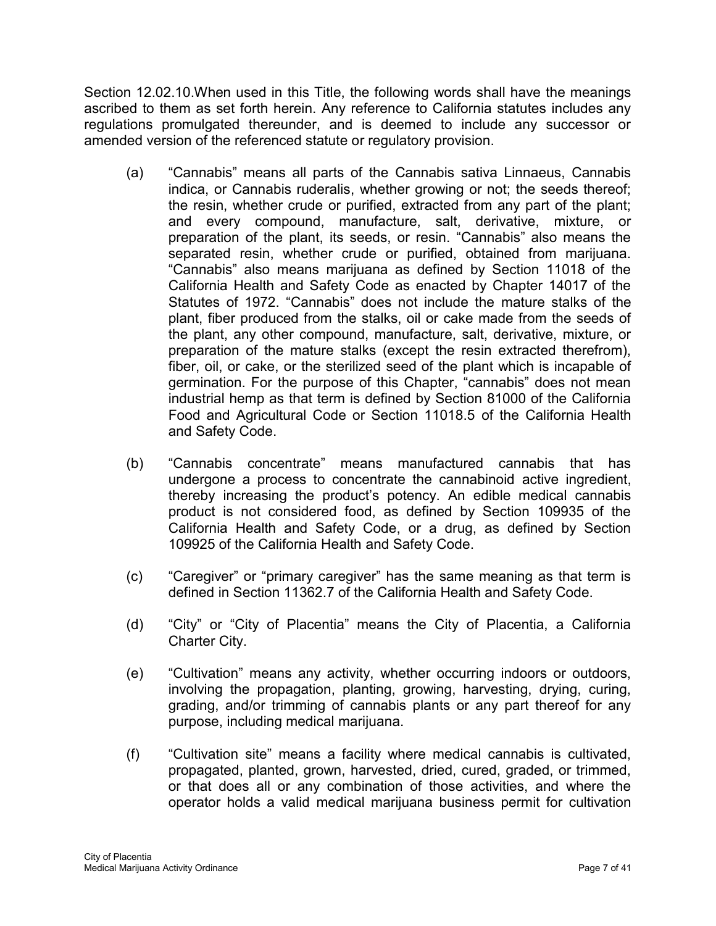Section 12.02.10.When used in this Title, the following words shall have the meanings ascribed to them as set forth herein. Any reference to California statutes includes any regulations promulgated thereunder, and is deemed to include any successor or amended version of the referenced statute or regulatory provision.

- (a) "Cannabis" means all parts of the Cannabis sativa Linnaeus, Cannabis indica, or Cannabis ruderalis, whether growing or not; the seeds thereof; the resin, whether crude or purified, extracted from any part of the plant; and every compound, manufacture, salt, derivative, mixture, or preparation of the plant, its seeds, or resin. "Cannabis" also means the separated resin, whether crude or purified, obtained from marijuana. "Cannabis" also means marijuana as defined by Section 11018 of the California Health and Safety Code as enacted by Chapter 14017 of the Statutes of 1972. "Cannabis" does not include the mature stalks of the plant, fiber produced from the stalks, oil or cake made from the seeds of the plant, any other compound, manufacture, salt, derivative, mixture, or preparation of the mature stalks (except the resin extracted therefrom), fiber, oil, or cake, or the sterilized seed of the plant which is incapable of germination. For the purpose of this Chapter, "cannabis" does not mean industrial hemp as that term is defined by Section 81000 of the California Food and Agricultural Code or Section 11018.5 of the California Health and Safety Code.
- (b) "Cannabis concentrate" means manufactured cannabis that has undergone a process to concentrate the cannabinoid active ingredient, thereby increasing the product's potency. An edible medical cannabis product is not considered food, as defined by Section 109935 of the California Health and Safety Code, or a drug, as defined by Section 109925 of the California Health and Safety Code.
- (c) "Caregiver" or "primary caregiver" has the same meaning as that term is defined in Section 11362.7 of the California Health and Safety Code.
- (d) "City" or "City of Placentia" means the City of Placentia, a California Charter City.
- (e) "Cultivation" means any activity, whether occurring indoors or outdoors, involving the propagation, planting, growing, harvesting, drying, curing, grading, and/or trimming of cannabis plants or any part thereof for any purpose, including medical marijuana.
- (f) "Cultivation site" means a facility where medical cannabis is cultivated, propagated, planted, grown, harvested, dried, cured, graded, or trimmed, or that does all or any combination of those activities, and where the operator holds a valid medical marijuana business permit for cultivation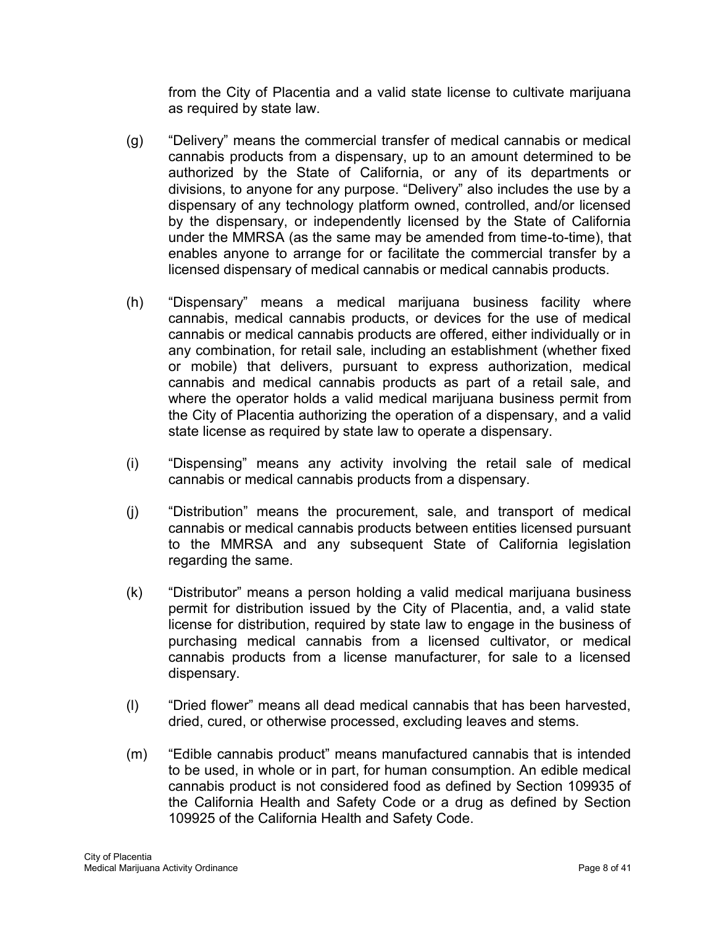from the City of Placentia and a valid state license to cultivate marijuana as required by state law.

- (g) "Delivery" means the commercial transfer of medical cannabis or medical cannabis products from a dispensary, up to an amount determined to be authorized by the State of California, or any of its departments or divisions, to anyone for any purpose. "Delivery" also includes the use by a dispensary of any technology platform owned, controlled, and/or licensed by the dispensary, or independently licensed by the State of California under the MMRSA (as the same may be amended from time-to-time), that enables anyone to arrange for or facilitate the commercial transfer by a licensed dispensary of medical cannabis or medical cannabis products.
- (h) "Dispensary" means a medical marijuana business facility where cannabis, medical cannabis products, or devices for the use of medical cannabis or medical cannabis products are offered, either individually or in any combination, for retail sale, including an establishment (whether fixed or mobile) that delivers, pursuant to express authorization, medical cannabis and medical cannabis products as part of a retail sale, and where the operator holds a valid medical marijuana business permit from the City of Placentia authorizing the operation of a dispensary, and a valid state license as required by state law to operate a dispensary.
- (i) "Dispensing" means any activity involving the retail sale of medical cannabis or medical cannabis products from a dispensary.
- (j) "Distribution" means the procurement, sale, and transport of medical cannabis or medical cannabis products between entities licensed pursuant to the MMRSA and any subsequent State of California legislation regarding the same.
- (k) "Distributor" means a person holding a valid medical marijuana business permit for distribution issued by the City of Placentia, and, a valid state license for distribution, required by state law to engage in the business of purchasing medical cannabis from a licensed cultivator, or medical cannabis products from a license manufacturer, for sale to a licensed dispensary.
- (l) "Dried flower" means all dead medical cannabis that has been harvested, dried, cured, or otherwise processed, excluding leaves and stems.
- (m) "Edible cannabis product" means manufactured cannabis that is intended to be used, in whole or in part, for human consumption. An edible medical cannabis product is not considered food as defined by Section 109935 of the California Health and Safety Code or a drug as defined by Section 109925 of the California Health and Safety Code.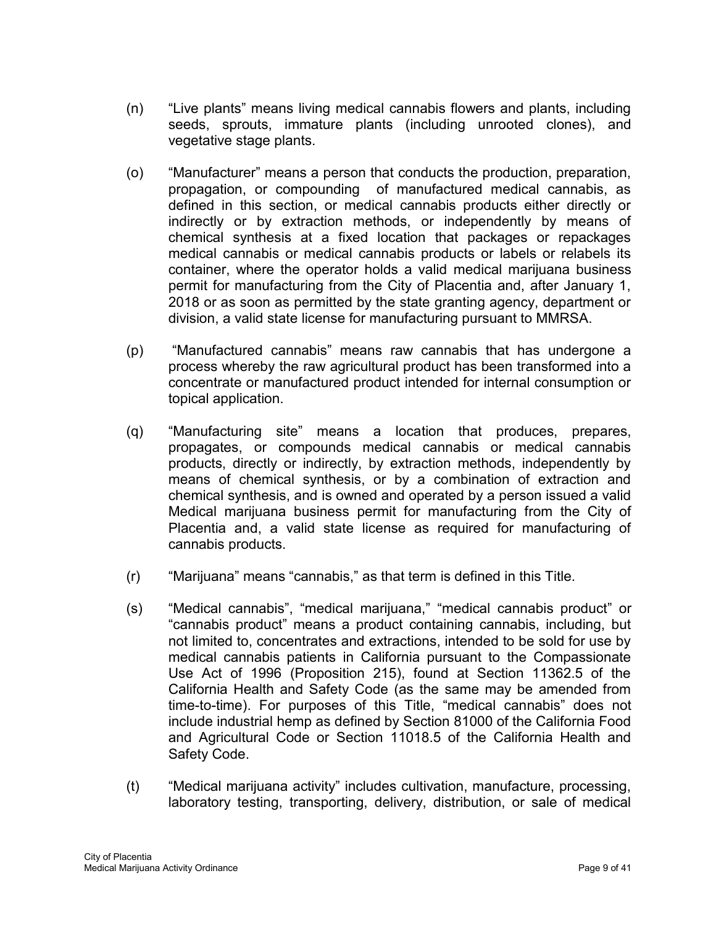- (n) "Live plants" means living medical cannabis flowers and plants, including seeds, sprouts, immature plants (including unrooted clones), and vegetative stage plants.
- (o) "Manufacturer" means a person that conducts the production, preparation, propagation, or compounding of manufactured medical cannabis, as defined in this section, or medical cannabis products either directly or indirectly or by extraction methods, or independently by means of chemical synthesis at a fixed location that packages or repackages medical cannabis or medical cannabis products or labels or relabels its container, where the operator holds a valid medical marijuana business permit for manufacturing from the City of Placentia and, after January 1, 2018 or as soon as permitted by the state granting agency, department or division, a valid state license for manufacturing pursuant to MMRSA.
- (p) "Manufactured cannabis" means raw cannabis that has undergone a process whereby the raw agricultural product has been transformed into a concentrate or manufactured product intended for internal consumption or topical application.
- (q) "Manufacturing site" means a location that produces, prepares, propagates, or compounds medical cannabis or medical cannabis products, directly or indirectly, by extraction methods, independently by means of chemical synthesis, or by a combination of extraction and chemical synthesis, and is owned and operated by a person issued a valid Medical marijuana business permit for manufacturing from the City of Placentia and, a valid state license as required for manufacturing of cannabis products.
- (r) "Marijuana" means "cannabis," as that term is defined in this Title.
- (s) "Medical cannabis", "medical marijuana," "medical cannabis product" or "cannabis product" means a product containing cannabis, including, but not limited to, concentrates and extractions, intended to be sold for use by medical cannabis patients in California pursuant to the Compassionate Use Act of 1996 (Proposition 215), found at Section 11362.5 of the California Health and Safety Code (as the same may be amended from time-to-time). For purposes of this Title, "medical cannabis" does not include industrial hemp as defined by Section 81000 of the California Food and Agricultural Code or Section 11018.5 of the California Health and Safety Code.
- (t) "Medical marijuana activity" includes cultivation, manufacture, processing, laboratory testing, transporting, delivery, distribution, or sale of medical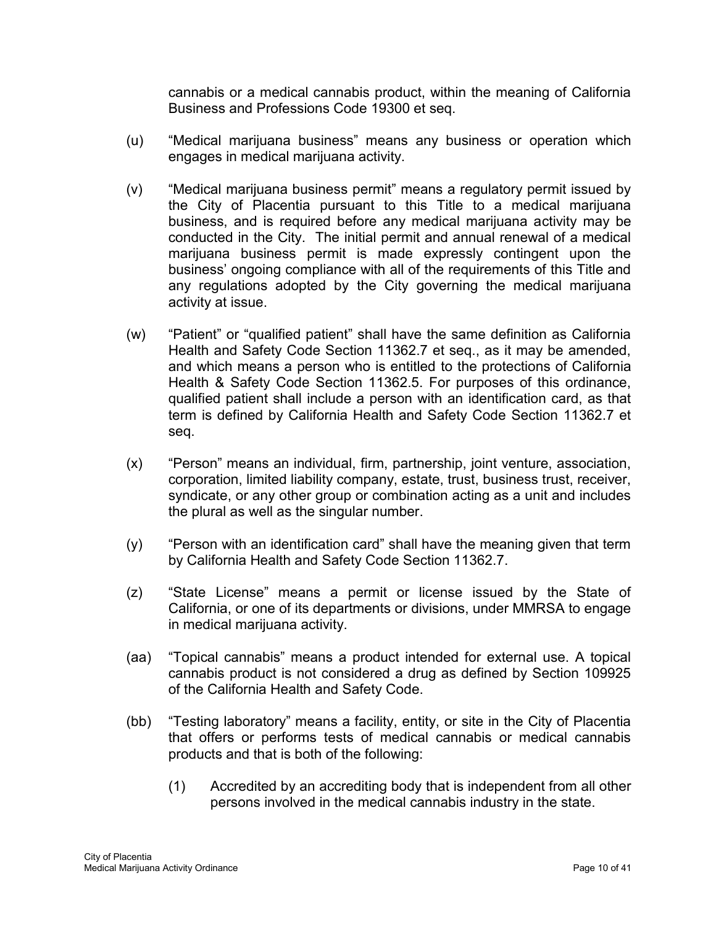cannabis or a medical cannabis product, within the meaning of California Business and Professions Code 19300 et seq.

- (u) "Medical marijuana business" means any business or operation which engages in medical marijuana activity.
- (v) "Medical marijuana business permit" means a regulatory permit issued by the City of Placentia pursuant to this Title to a medical marijuana business, and is required before any medical marijuana activity may be conducted in the City. The initial permit and annual renewal of a medical marijuana business permit is made expressly contingent upon the business' ongoing compliance with all of the requirements of this Title and any regulations adopted by the City governing the medical marijuana activity at issue.
- (w) "Patient" or "qualified patient" shall have the same definition as California Health and Safety Code Section 11362.7 et seq., as it may be amended, and which means a person who is entitled to the protections of California Health & Safety Code Section 11362.5. For purposes of this ordinance, qualified patient shall include a person with an identification card, as that term is defined by California Health and Safety Code Section 11362.7 et seq.
- (x) "Person" means an individual, firm, partnership, joint venture, association, corporation, limited liability company, estate, trust, business trust, receiver, syndicate, or any other group or combination acting as a unit and includes the plural as well as the singular number.
- (y) "Person with an identification card" shall have the meaning given that term by California Health and Safety Code Section 11362.7.
- (z) "State License" means a permit or license issued by the State of California, or one of its departments or divisions, under MMRSA to engage in medical marijuana activity.
- (aa) "Topical cannabis" means a product intended for external use. A topical cannabis product is not considered a drug as defined by Section 109925 of the California Health and Safety Code.
- (bb) "Testing laboratory" means a facility, entity, or site in the City of Placentia that offers or performs tests of medical cannabis or medical cannabis products and that is both of the following:
	- (1) Accredited by an accrediting body that is independent from all other persons involved in the medical cannabis industry in the state.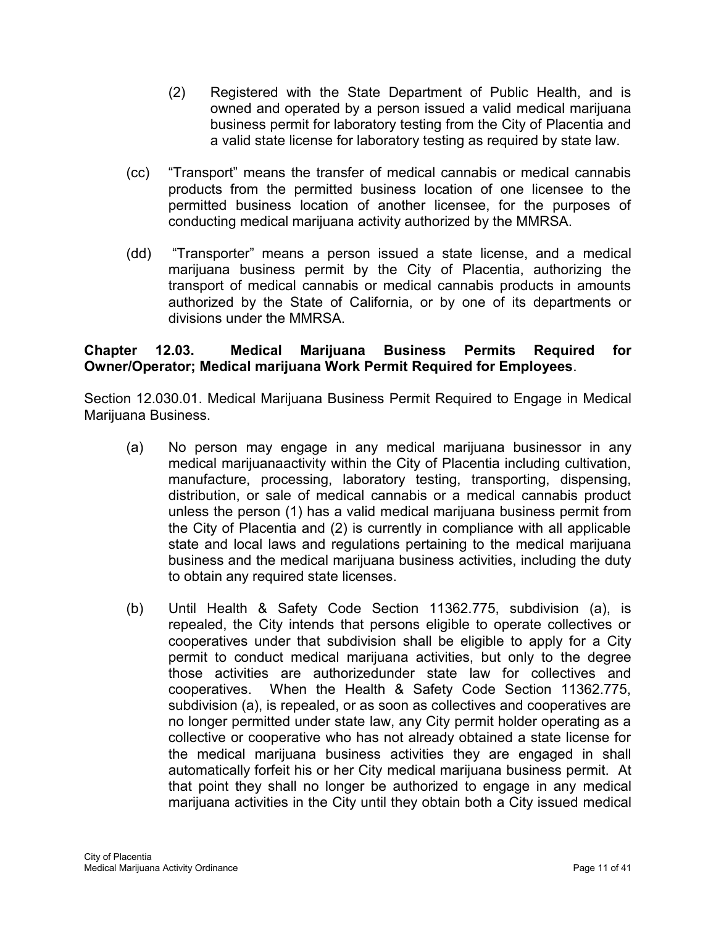- (2) Registered with the State Department of Public Health, and is owned and operated by a person issued a valid medical marijuana business permit for laboratory testing from the City of Placentia and a valid state license for laboratory testing as required by state law.
- (cc) "Transport" means the transfer of medical cannabis or medical cannabis products from the permitted business location of one licensee to the permitted business location of another licensee, for the purposes of conducting medical marijuana activity authorized by the MMRSA.
- (dd) "Transporter" means a person issued a state license, and a medical marijuana business permit by the City of Placentia, authorizing the transport of medical cannabis or medical cannabis products in amounts authorized by the State of California, or by one of its departments or divisions under the MMRSA.

#### **Chapter 12.03. Medical Marijuana Business Permits Required for Owner/Operator; Medical marijuana Work Permit Required for Employees**.

Section 12.030.01. Medical Marijuana Business Permit Required to Engage in Medical Marijuana Business.

- (a) No person may engage in any medical marijuana businessor in any medical marijuanaactivity within the City of Placentia including cultivation, manufacture, processing, laboratory testing, transporting, dispensing, distribution, or sale of medical cannabis or a medical cannabis product unless the person (1) has a valid medical marijuana business permit from the City of Placentia and (2) is currently in compliance with all applicable state and local laws and regulations pertaining to the medical marijuana business and the medical marijuana business activities, including the duty to obtain any required state licenses.
- (b) Until Health & Safety Code Section 11362.775, subdivision (a), is repealed, the City intends that persons eligible to operate collectives or cooperatives under that subdivision shall be eligible to apply for a City permit to conduct medical marijuana activities, but only to the degree those activities are authorizedunder state law for collectives and cooperatives. When the Health & Safety Code Section 11362.775, subdivision (a), is repealed, or as soon as collectives and cooperatives are no longer permitted under state law, any City permit holder operating as a collective or cooperative who has not already obtained a state license for the medical marijuana business activities they are engaged in shall automatically forfeit his or her City medical marijuana business permit. At that point they shall no longer be authorized to engage in any medical marijuana activities in the City until they obtain both a City issued medical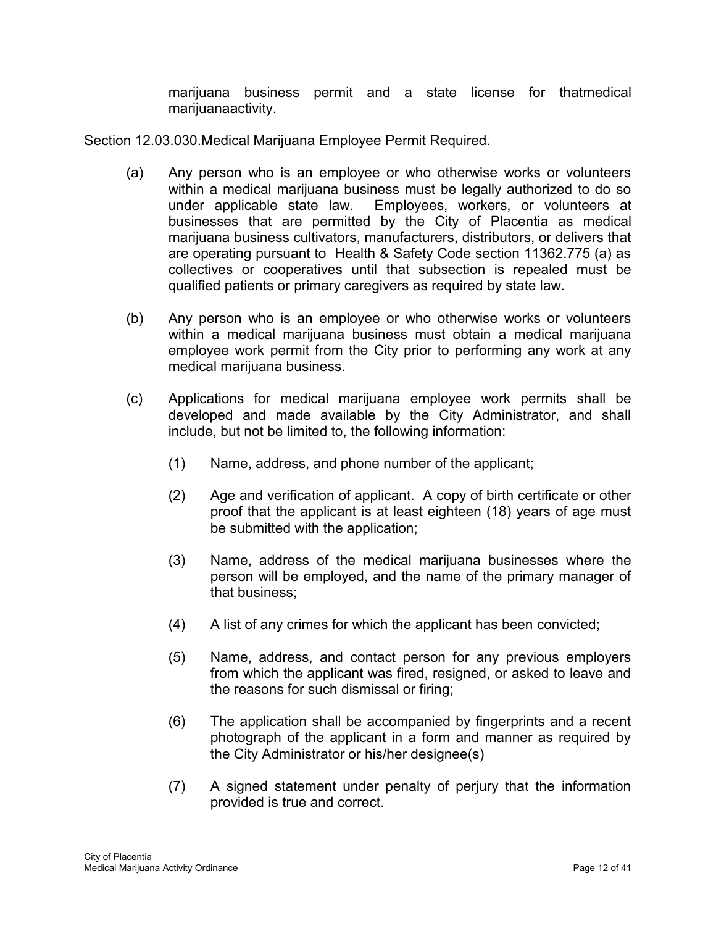marijuana business permit and a state license for thatmedical marijuanaactivity.

Section 12.03.030.Medical Marijuana Employee Permit Required.

- (a) Any person who is an employee or who otherwise works or volunteers within a medical marijuana business must be legally authorized to do so under applicable state law. Employees, workers, or volunteers at businesses that are permitted by the City of Placentia as medical marijuana business cultivators, manufacturers, distributors, or delivers that are operating pursuant to Health & Safety Code section 11362.775 (a) as collectives or cooperatives until that subsection is repealed must be qualified patients or primary caregivers as required by state law.
- (b) Any person who is an employee or who otherwise works or volunteers within a medical marijuana business must obtain a medical marijuana employee work permit from the City prior to performing any work at any medical marijuana business.
- (c) Applications for medical marijuana employee work permits shall be developed and made available by the City Administrator, and shall include, but not be limited to, the following information:
	- (1) Name, address, and phone number of the applicant;
	- (2) Age and verification of applicant. A copy of birth certificate or other proof that the applicant is at least eighteen (18) years of age must be submitted with the application;
	- (3) Name, address of the medical marijuana businesses where the person will be employed, and the name of the primary manager of that business;
	- (4) A list of any crimes for which the applicant has been convicted;
	- (5) Name, address, and contact person for any previous employers from which the applicant was fired, resigned, or asked to leave and the reasons for such dismissal or firing;
	- (6) The application shall be accompanied by fingerprints and a recent photograph of the applicant in a form and manner as required by the City Administrator or his/her designee(s)
	- (7) A signed statement under penalty of perjury that the information provided is true and correct.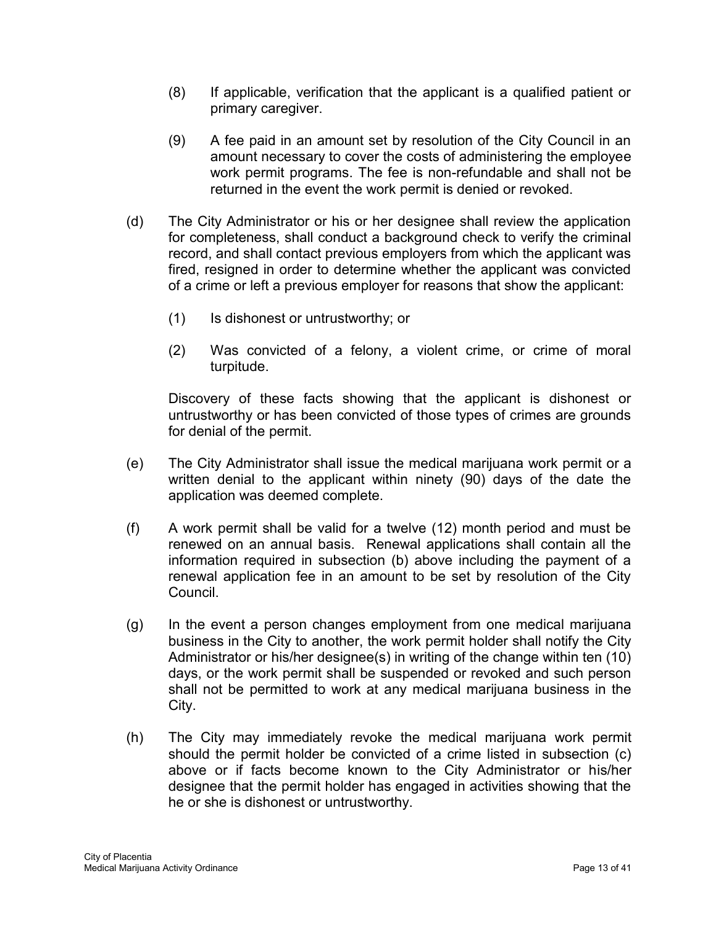- (8) If applicable, verification that the applicant is a qualified patient or primary caregiver.
- (9) A fee paid in an amount set by resolution of the City Council in an amount necessary to cover the costs of administering the employee work permit programs. The fee is non-refundable and shall not be returned in the event the work permit is denied or revoked.
- (d) The City Administrator or his or her designee shall review the application for completeness, shall conduct a background check to verify the criminal record, and shall contact previous employers from which the applicant was fired, resigned in order to determine whether the applicant was convicted of a crime or left a previous employer for reasons that show the applicant:
	- (1) Is dishonest or untrustworthy; or
	- (2) Was convicted of a felony, a violent crime, or crime of moral turpitude.

Discovery of these facts showing that the applicant is dishonest or untrustworthy or has been convicted of those types of crimes are grounds for denial of the permit.

- (e) The City Administrator shall issue the medical marijuana work permit or a written denial to the applicant within ninety (90) days of the date the application was deemed complete.
- (f) A work permit shall be valid for a twelve (12) month period and must be renewed on an annual basis. Renewal applications shall contain all the information required in subsection (b) above including the payment of a renewal application fee in an amount to be set by resolution of the City Council.
- (g) In the event a person changes employment from one medical marijuana business in the City to another, the work permit holder shall notify the City Administrator or his/her designee(s) in writing of the change within ten (10) days, or the work permit shall be suspended or revoked and such person shall not be permitted to work at any medical marijuana business in the City.
- (h) The City may immediately revoke the medical marijuana work permit should the permit holder be convicted of a crime listed in subsection (c) above or if facts become known to the City Administrator or his/her designee that the permit holder has engaged in activities showing that the he or she is dishonest or untrustworthy.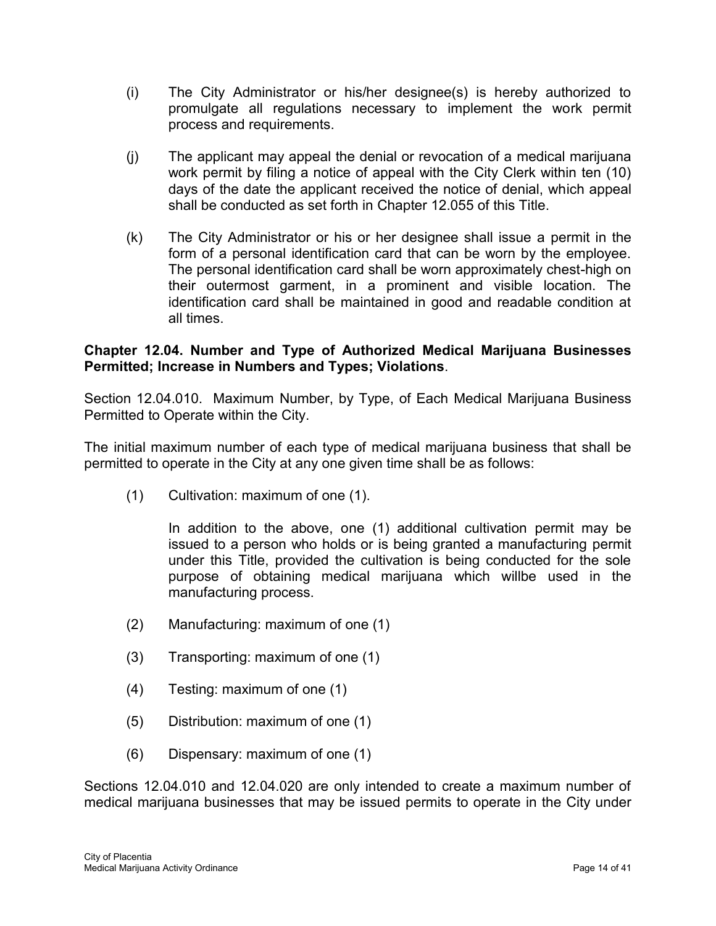- (i) The City Administrator or his/her designee(s) is hereby authorized to promulgate all regulations necessary to implement the work permit process and requirements.
- (j) The applicant may appeal the denial or revocation of a medical marijuana work permit by filing a notice of appeal with the City Clerk within ten (10) days of the date the applicant received the notice of denial, which appeal shall be conducted as set forth in Chapter 12.055 of this Title.
- (k) The City Administrator or his or her designee shall issue a permit in the form of a personal identification card that can be worn by the employee. The personal identification card shall be worn approximately chest-high on their outermost garment, in a prominent and visible location. The identification card shall be maintained in good and readable condition at all times.

#### **Chapter 12.04. Number and Type of Authorized Medical Marijuana Businesses Permitted; Increase in Numbers and Types; Violations**.

Section 12.04.010. Maximum Number, by Type, of Each Medical Marijuana Business Permitted to Operate within the City.

The initial maximum number of each type of medical marijuana business that shall be permitted to operate in the City at any one given time shall be as follows:

(1) Cultivation: maximum of one (1).

In addition to the above, one (1) additional cultivation permit may be issued to a person who holds or is being granted a manufacturing permit under this Title, provided the cultivation is being conducted for the sole purpose of obtaining medical marijuana which willbe used in the manufacturing process.

- (2) Manufacturing: maximum of one (1)
- (3) Transporting: maximum of one (1)
- (4) Testing: maximum of one (1)
- (5) Distribution: maximum of one (1)
- (6) Dispensary: maximum of one (1)

Sections 12.04.010 and 12.04.020 are only intended to create a maximum number of medical marijuana businesses that may be issued permits to operate in the City under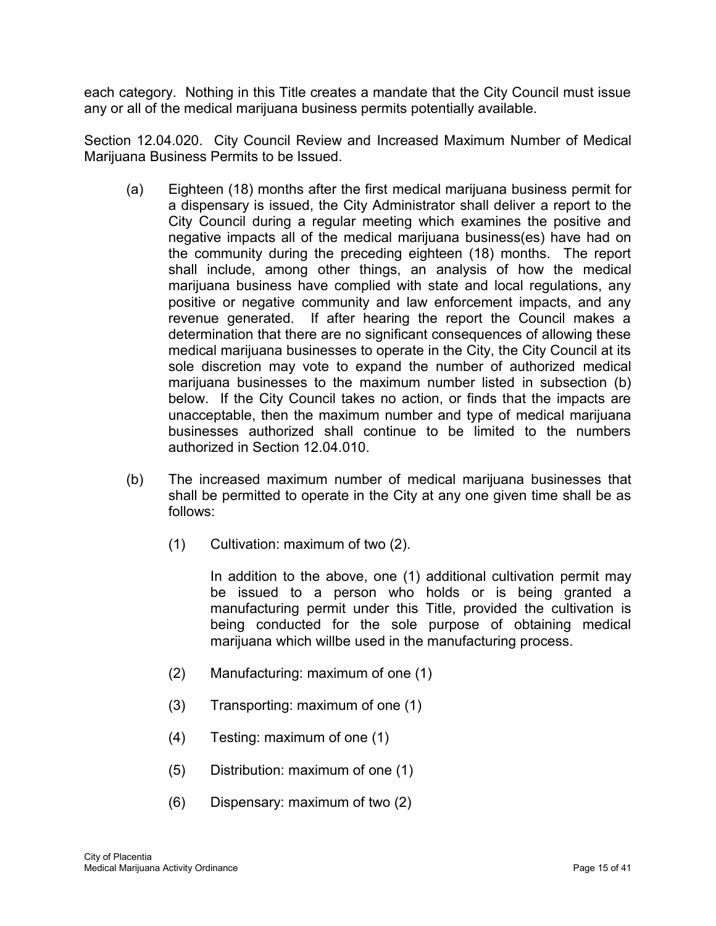each category. Nothing in this Title creates a mandate that the City Council must issue any or all of the medical marijuana business permits potentially available.

Section 12.04.020. City Council Review and Increased Maximum Number of Medical Marijuana Business Permits to be Issued.

- (a) Eighteen (18) months after the first medical marijuana business permit for a dispensary is issued, the City Administrator shall deliver a report to the City Council during a regular meeting which examines the positive and negative impacts all of the medical marijuana business(es) have had on the community during the preceding eighteen (18) months. The report shall include, among other things, an analysis of how the medical marijuana business have complied with state and local regulations, any positive or negative community and law enforcement impacts, and any revenue generated. If after hearing the report the Council makes a determination that there are no significant consequences of allowing these medical marijuana businesses to operate in the City, the City Council at its sole discretion may vote to expand the number of authorized medical marijuana businesses to the maximum number listed in subsection (b) below. If the City Council takes no action, or finds that the impacts are unacceptable, then the maximum number and type of medical marijuana businesses authorized shall continue to be limited to the numbers authorized in Section 12.04.010.
- (b) The increased maximum number of medical marijuana businesses that shall be permitted to operate in the City at any one given time shall be as follows:
	- (1) Cultivation: maximum of two (2).

In addition to the above, one (1) additional cultivation permit may be issued to a person who holds or is being granted a manufacturing permit under this Title, provided the cultivation is being conducted for the sole purpose of obtaining medical marijuana which willbe used in the manufacturing process.

- (2) Manufacturing: maximum of one (1)
- (3) Transporting: maximum of one (1)
- (4) Testing: maximum of one (1)
- (5) Distribution: maximum of one (1)
- (6) Dispensary: maximum of two (2)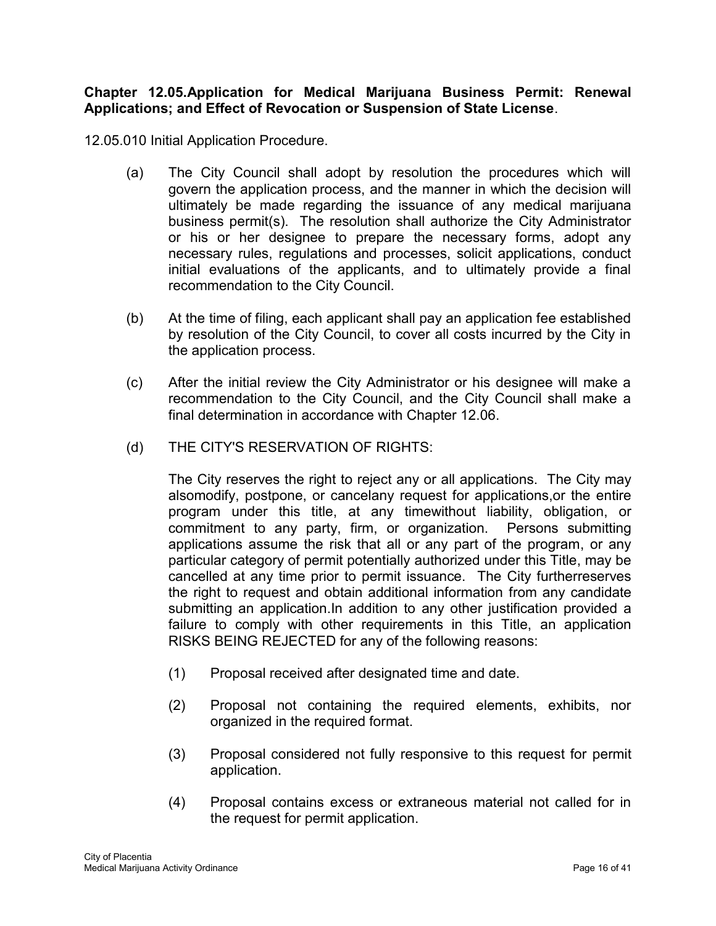#### **Chapter 12.05.Application for Medical Marijuana Business Permit: Renewal Applications; and Effect of Revocation or Suspension of State License**.

12.05.010 Initial Application Procedure.

- (a) The City Council shall adopt by resolution the procedures which will govern the application process, and the manner in which the decision will ultimately be made regarding the issuance of any medical marijuana business permit(s). The resolution shall authorize the City Administrator or his or her designee to prepare the necessary forms, adopt any necessary rules, regulations and processes, solicit applications, conduct initial evaluations of the applicants, and to ultimately provide a final recommendation to the City Council.
- (b) At the time of filing, each applicant shall pay an application fee established by resolution of the City Council, to cover all costs incurred by the City in the application process.
- (c) After the initial review the City Administrator or his designee will make a recommendation to the City Council, and the City Council shall make a final determination in accordance with Chapter 12.06.
- (d) THE CITY'S RESERVATION OF RIGHTS:

The City reserves the right to reject any or all applications. The City may alsomodify, postpone, or cancelany request for applications,or the entire program under this title, at any timewithout liability, obligation, or commitment to any party, firm, or organization. Persons submitting applications assume the risk that all or any part of the program, or any particular category of permit potentially authorized under this Title, may be cancelled at any time prior to permit issuance. The City furtherreserves the right to request and obtain additional information from any candidate submitting an application.In addition to any other justification provided a failure to comply with other requirements in this Title, an application RISKS BEING REJECTED for any of the following reasons:

- (1) Proposal received after designated time and date.
- (2) Proposal not containing the required elements, exhibits, nor organized in the required format.
- (3) Proposal considered not fully responsive to this request for permit application.
- (4) Proposal contains excess or extraneous material not called for in the request for permit application.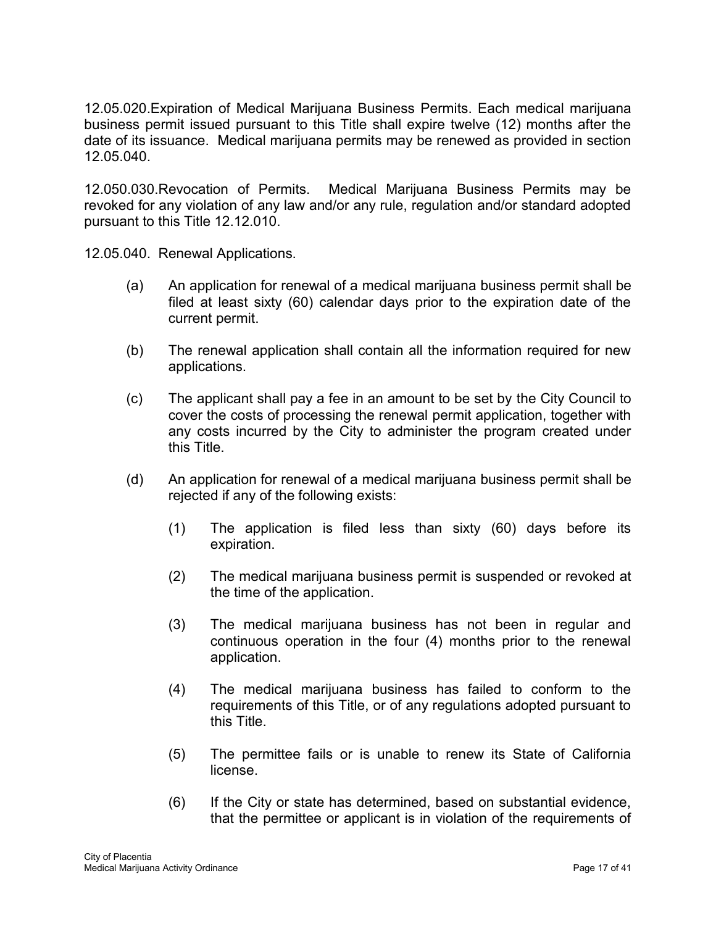12.05.020.Expiration of Medical Marijuana Business Permits. Each medical marijuana business permit issued pursuant to this Title shall expire twelve (12) months after the date of its issuance. Medical marijuana permits may be renewed as provided in section 12.05.040.

12.050.030.Revocation of Permits. Medical Marijuana Business Permits may be revoked for any violation of any law and/or any rule, regulation and/or standard adopted pursuant to this Title 12.12.010.

12.05.040. Renewal Applications.

- (a) An application for renewal of a medical marijuana business permit shall be filed at least sixty (60) calendar days prior to the expiration date of the current permit.
- (b) The renewal application shall contain all the information required for new applications.
- (c) The applicant shall pay a fee in an amount to be set by the City Council to cover the costs of processing the renewal permit application, together with any costs incurred by the City to administer the program created under this Title.
- (d) An application for renewal of a medical marijuana business permit shall be rejected if any of the following exists:
	- (1) The application is filed less than sixty (60) days before its expiration.
	- (2) The medical marijuana business permit is suspended or revoked at the time of the application.
	- (3) The medical marijuana business has not been in regular and continuous operation in the four (4) months prior to the renewal application.
	- (4) The medical marijuana business has failed to conform to the requirements of this Title, or of any regulations adopted pursuant to this Title.
	- (5) The permittee fails or is unable to renew its State of California license.
	- (6) If the City or state has determined, based on substantial evidence, that the permittee or applicant is in violation of the requirements of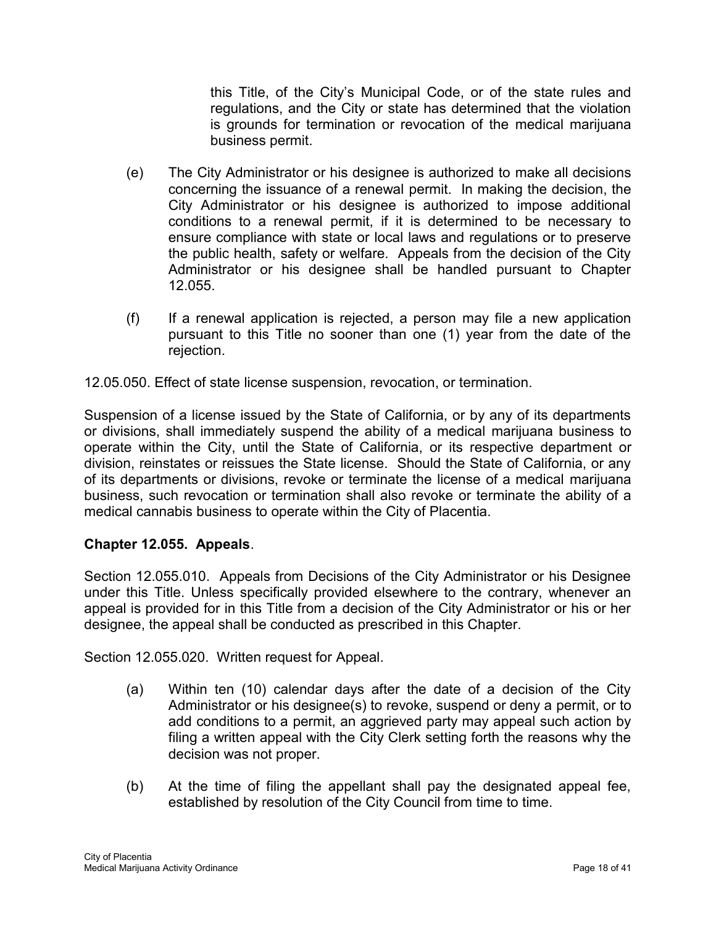this Title, of the City's Municipal Code, or of the state rules and regulations, and the City or state has determined that the violation is grounds for termination or revocation of the medical marijuana business permit.

- (e) The City Administrator or his designee is authorized to make all decisions concerning the issuance of a renewal permit. In making the decision, the City Administrator or his designee is authorized to impose additional conditions to a renewal permit, if it is determined to be necessary to ensure compliance with state or local laws and regulations or to preserve the public health, safety or welfare. Appeals from the decision of the City Administrator or his designee shall be handled pursuant to Chapter 12.055.
- (f) If a renewal application is rejected, a person may file a new application pursuant to this Title no sooner than one (1) year from the date of the rejection.

12.05.050. Effect of state license suspension, revocation, or termination.

Suspension of a license issued by the State of California, or by any of its departments or divisions, shall immediately suspend the ability of a medical marijuana business to operate within the City, until the State of California, or its respective department or division, reinstates or reissues the State license. Should the State of California, or any of its departments or divisions, revoke or terminate the license of a medical marijuana business, such revocation or termination shall also revoke or terminate the ability of a medical cannabis business to operate within the City of Placentia.

#### **Chapter 12.055. Appeals**.

Section 12.055.010. Appeals from Decisions of the City Administrator or his Designee under this Title. Unless specifically provided elsewhere to the contrary, whenever an appeal is provided for in this Title from a decision of the City Administrator or his or her designee, the appeal shall be conducted as prescribed in this Chapter.

Section 12.055.020. Written request for Appeal.

- (a) Within ten (10) calendar days after the date of a decision of the City Administrator or his designee(s) to revoke, suspend or deny a permit, or to add conditions to a permit, an aggrieved party may appeal such action by filing a written appeal with the City Clerk setting forth the reasons why the decision was not proper.
- (b) At the time of filing the appellant shall pay the designated appeal fee, established by resolution of the City Council from time to time.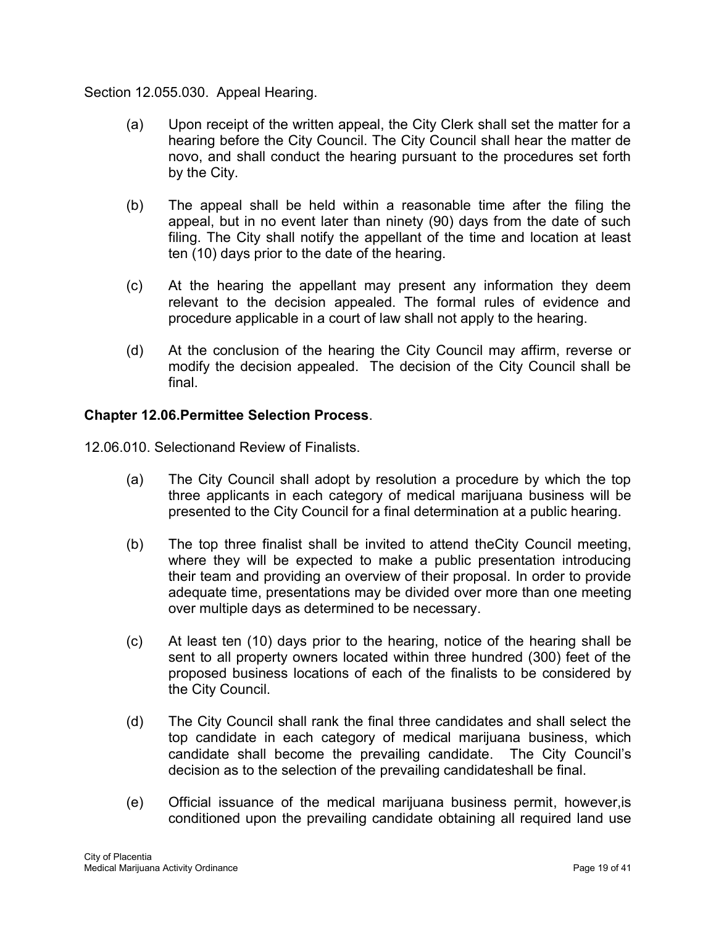Section 12.055.030. Appeal Hearing.

- (a) Upon receipt of the written appeal, the City Clerk shall set the matter for a hearing before the City Council. The City Council shall hear the matter de novo, and shall conduct the hearing pursuant to the procedures set forth by the City.
- (b) The appeal shall be held within a reasonable time after the filing the appeal, but in no event later than ninety (90) days from the date of such filing. The City shall notify the appellant of the time and location at least ten (10) days prior to the date of the hearing.
- (c) At the hearing the appellant may present any information they deem relevant to the decision appealed. The formal rules of evidence and procedure applicable in a court of law shall not apply to the hearing.
- (d) At the conclusion of the hearing the City Council may affirm, reverse or modify the decision appealed. The decision of the City Council shall be final.

#### **Chapter 12.06.Permittee Selection Process**.

12.06.010. Selectionand Review of Finalists.

- (a) The City Council shall adopt by resolution a procedure by which the top three applicants in each category of medical marijuana business will be presented to the City Council for a final determination at a public hearing.
- (b) The top three finalist shall be invited to attend theCity Council meeting, where they will be expected to make a public presentation introducing their team and providing an overview of their proposal. In order to provide adequate time, presentations may be divided over more than one meeting over multiple days as determined to be necessary.
- (c) At least ten (10) days prior to the hearing, notice of the hearing shall be sent to all property owners located within three hundred (300) feet of the proposed business locations of each of the finalists to be considered by the City Council.
- (d) The City Council shall rank the final three candidates and shall select the top candidate in each category of medical marijuana business, which candidate shall become the prevailing candidate. The City Council's decision as to the selection of the prevailing candidateshall be final.
- (e) Official issuance of the medical marijuana business permit, however,is conditioned upon the prevailing candidate obtaining all required land use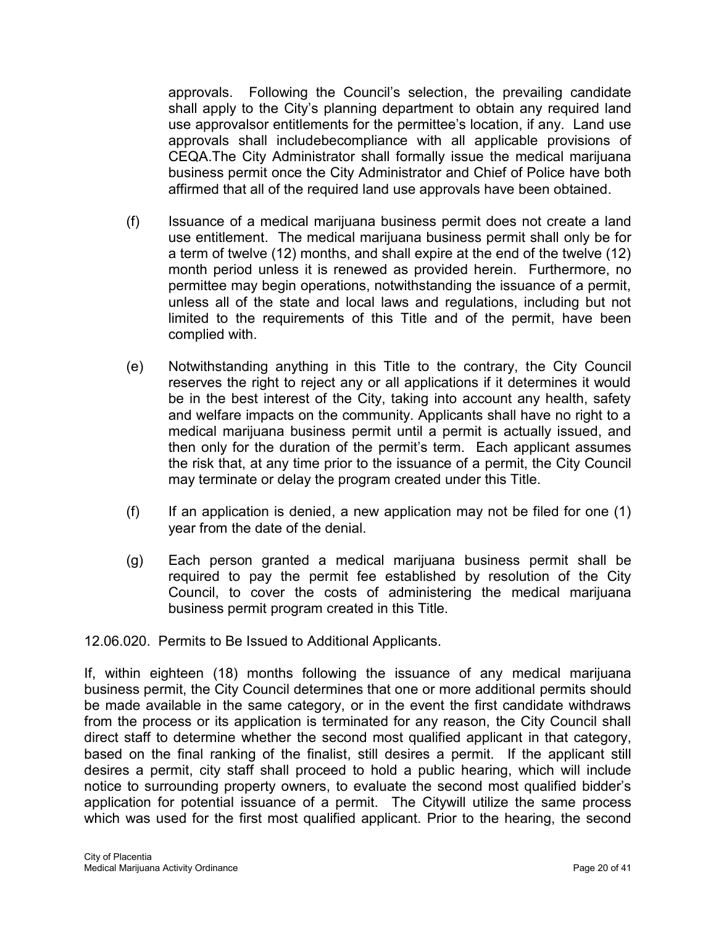approvals. Following the Council's selection, the prevailing candidate shall apply to the City's planning department to obtain any required land use approvalsor entitlements for the permittee's location, if any. Land use approvals shall includebecompliance with all applicable provisions of CEQA.The City Administrator shall formally issue the medical marijuana business permit once the City Administrator and Chief of Police have both affirmed that all of the required land use approvals have been obtained.

- (f) Issuance of a medical marijuana business permit does not create a land use entitlement. The medical marijuana business permit shall only be for a term of twelve (12) months, and shall expire at the end of the twelve (12) month period unless it is renewed as provided herein. Furthermore, no permittee may begin operations, notwithstanding the issuance of a permit, unless all of the state and local laws and regulations, including but not limited to the requirements of this Title and of the permit, have been complied with.
- (e) Notwithstanding anything in this Title to the contrary, the City Council reserves the right to reject any or all applications if it determines it would be in the best interest of the City, taking into account any health, safety and welfare impacts on the community. Applicants shall have no right to a medical marijuana business permit until a permit is actually issued, and then only for the duration of the permit's term. Each applicant assumes the risk that, at any time prior to the issuance of a permit, the City Council may terminate or delay the program created under this Title.
- $(f)$  If an application is denied, a new application may not be filed for one  $(1)$ year from the date of the denial.
- (g) Each person granted a medical marijuana business permit shall be required to pay the permit fee established by resolution of the City Council, to cover the costs of administering the medical marijuana business permit program created in this Title.

12.06.020. Permits to Be Issued to Additional Applicants.

If, within eighteen (18) months following the issuance of any medical marijuana business permit, the City Council determines that one or more additional permits should be made available in the same category, or in the event the first candidate withdraws from the process or its application is terminated for any reason, the City Council shall direct staff to determine whether the second most qualified applicant in that category, based on the final ranking of the finalist, still desires a permit. If the applicant still desires a permit, city staff shall proceed to hold a public hearing, which will include notice to surrounding property owners, to evaluate the second most qualified bidder's application for potential issuance of a permit. The Citywill utilize the same process which was used for the first most qualified applicant. Prior to the hearing, the second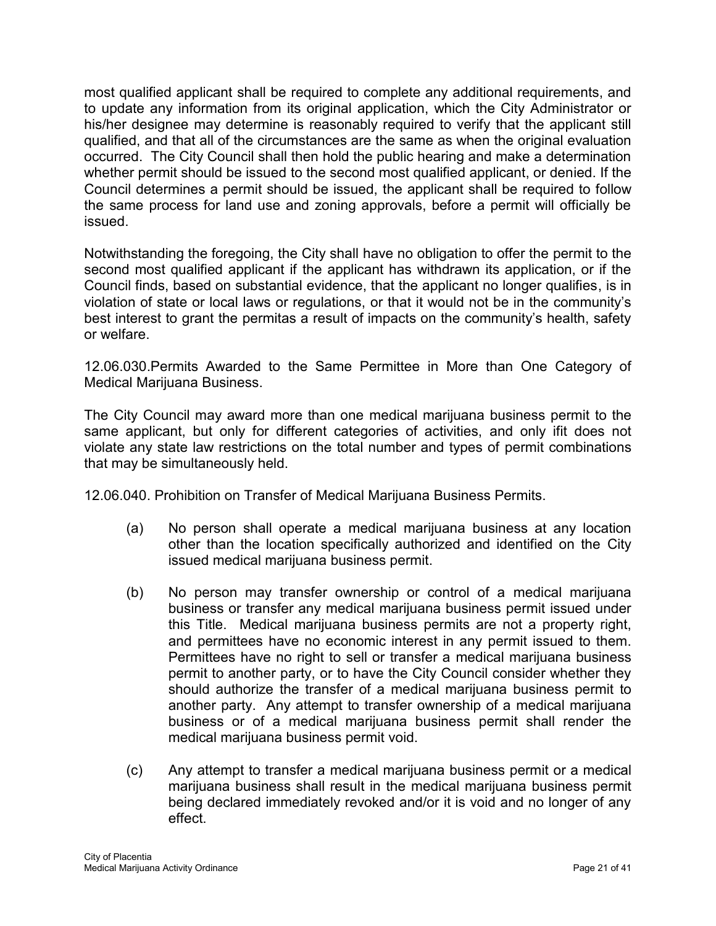most qualified applicant shall be required to complete any additional requirements, and to update any information from its original application, which the City Administrator or his/her designee may determine is reasonably required to verify that the applicant still qualified, and that all of the circumstances are the same as when the original evaluation occurred. The City Council shall then hold the public hearing and make a determination whether permit should be issued to the second most qualified applicant, or denied. If the Council determines a permit should be issued, the applicant shall be required to follow the same process for land use and zoning approvals, before a permit will officially be issued.

Notwithstanding the foregoing, the City shall have no obligation to offer the permit to the second most qualified applicant if the applicant has withdrawn its application, or if the Council finds, based on substantial evidence, that the applicant no longer qualifies, is in violation of state or local laws or regulations, or that it would not be in the community's best interest to grant the permitas a result of impacts on the community's health, safety or welfare.

12.06.030.Permits Awarded to the Same Permittee in More than One Category of Medical Marijuana Business.

The City Council may award more than one medical marijuana business permit to the same applicant, but only for different categories of activities, and only ifit does not violate any state law restrictions on the total number and types of permit combinations that may be simultaneously held.

12.06.040. Prohibition on Transfer of Medical Marijuana Business Permits.

- (a) No person shall operate a medical marijuana business at any location other than the location specifically authorized and identified on the City issued medical marijuana business permit.
- (b) No person may transfer ownership or control of a medical marijuana business or transfer any medical marijuana business permit issued under this Title. Medical marijuana business permits are not a property right, and permittees have no economic interest in any permit issued to them. Permittees have no right to sell or transfer a medical marijuana business permit to another party, or to have the City Council consider whether they should authorize the transfer of a medical marijuana business permit to another party. Any attempt to transfer ownership of a medical marijuana business or of a medical marijuana business permit shall render the medical marijuana business permit void.
- (c) Any attempt to transfer a medical marijuana business permit or a medical marijuana business shall result in the medical marijuana business permit being declared immediately revoked and/or it is void and no longer of any effect.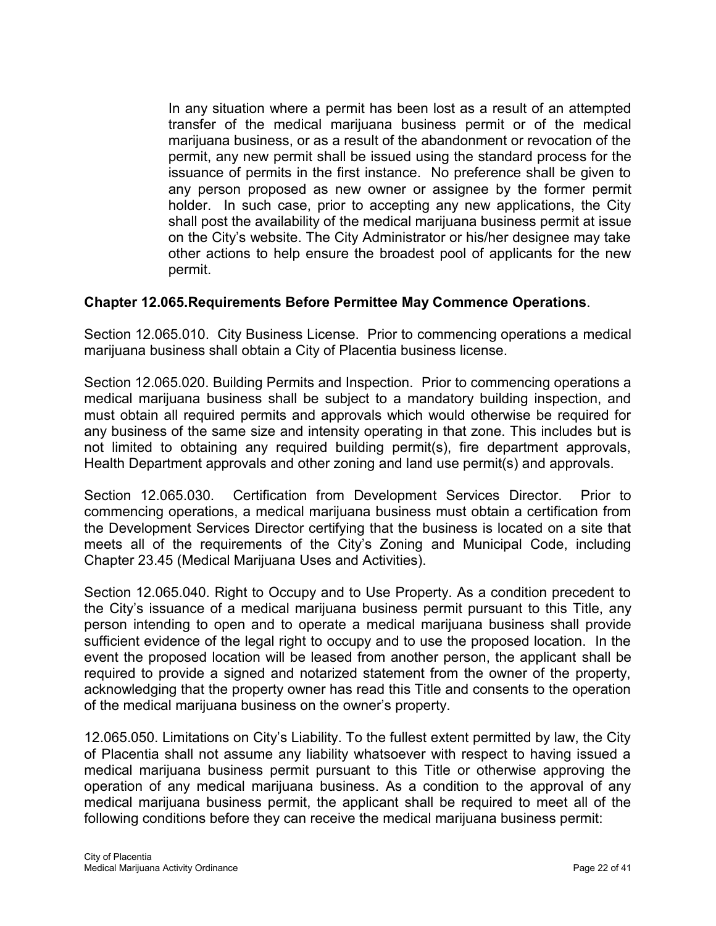In any situation where a permit has been lost as a result of an attempted transfer of the medical marijuana business permit or of the medical marijuana business, or as a result of the abandonment or revocation of the permit, any new permit shall be issued using the standard process for the issuance of permits in the first instance. No preference shall be given to any person proposed as new owner or assignee by the former permit holder. In such case, prior to accepting any new applications, the City shall post the availability of the medical marijuana business permit at issue on the City's website. The City Administrator or his/her designee may take other actions to help ensure the broadest pool of applicants for the new permit.

#### **Chapter 12.065.Requirements Before Permittee May Commence Operations**.

Section 12.065.010. City Business License. Prior to commencing operations a medical marijuana business shall obtain a City of Placentia business license.

Section 12.065.020. Building Permits and Inspection. Prior to commencing operations a medical marijuana business shall be subject to a mandatory building inspection, and must obtain all required permits and approvals which would otherwise be required for any business of the same size and intensity operating in that zone. This includes but is not limited to obtaining any required building permit(s), fire department approvals, Health Department approvals and other zoning and land use permit(s) and approvals.

Section 12.065.030. Certification from Development Services Director. Prior to commencing operations, a medical marijuana business must obtain a certification from the Development Services Director certifying that the business is located on a site that meets all of the requirements of the City's Zoning and Municipal Code, including Chapter 23.45 (Medical Marijuana Uses and Activities).

Section 12.065.040. Right to Occupy and to Use Property. As a condition precedent to the City's issuance of a medical marijuana business permit pursuant to this Title, any person intending to open and to operate a medical marijuana business shall provide sufficient evidence of the legal right to occupy and to use the proposed location. In the event the proposed location will be leased from another person, the applicant shall be required to provide a signed and notarized statement from the owner of the property, acknowledging that the property owner has read this Title and consents to the operation of the medical marijuana business on the owner's property.

12.065.050. Limitations on City's Liability. To the fullest extent permitted by law, the City of Placentia shall not assume any liability whatsoever with respect to having issued a medical marijuana business permit pursuant to this Title or otherwise approving the operation of any medical marijuana business. As a condition to the approval of any medical marijuana business permit, the applicant shall be required to meet all of the following conditions before they can receive the medical marijuana business permit: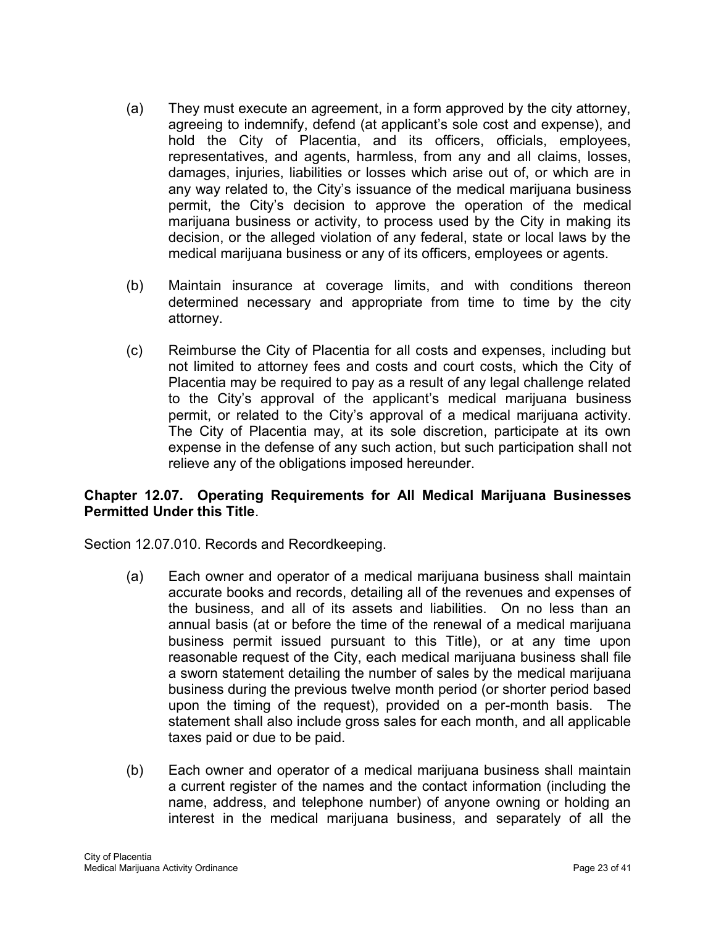- (a) They must execute an agreement, in a form approved by the city attorney, agreeing to indemnify, defend (at applicant's sole cost and expense), and hold the City of Placentia, and its officers, officials, employees, representatives, and agents, harmless, from any and all claims, losses, damages, injuries, liabilities or losses which arise out of, or which are in any way related to, the City's issuance of the medical marijuana business permit, the City's decision to approve the operation of the medical marijuana business or activity, to process used by the City in making its decision, or the alleged violation of any federal, state or local laws by the medical marijuana business or any of its officers, employees or agents.
- (b) Maintain insurance at coverage limits, and with conditions thereon determined necessary and appropriate from time to time by the city attorney.
- (c) Reimburse the City of Placentia for all costs and expenses, including but not limited to attorney fees and costs and court costs, which the City of Placentia may be required to pay as a result of any legal challenge related to the City's approval of the applicant's medical marijuana business permit, or related to the City's approval of a medical marijuana activity. The City of Placentia may, at its sole discretion, participate at its own expense in the defense of any such action, but such participation shall not relieve any of the obligations imposed hereunder.

#### **Chapter 12.07. Operating Requirements for All Medical Marijuana Businesses Permitted Under this Title**.

Section 12.07.010. Records and Recordkeeping.

- (a) Each owner and operator of a medical marijuana business shall maintain accurate books and records, detailing all of the revenues and expenses of the business, and all of its assets and liabilities. On no less than an annual basis (at or before the time of the renewal of a medical marijuana business permit issued pursuant to this Title), or at any time upon reasonable request of the City, each medical marijuana business shall file a sworn statement detailing the number of sales by the medical marijuana business during the previous twelve month period (or shorter period based upon the timing of the request), provided on a per-month basis. The statement shall also include gross sales for each month, and all applicable taxes paid or due to be paid.
- (b) Each owner and operator of a medical marijuana business shall maintain a current register of the names and the contact information (including the name, address, and telephone number) of anyone owning or holding an interest in the medical marijuana business, and separately of all the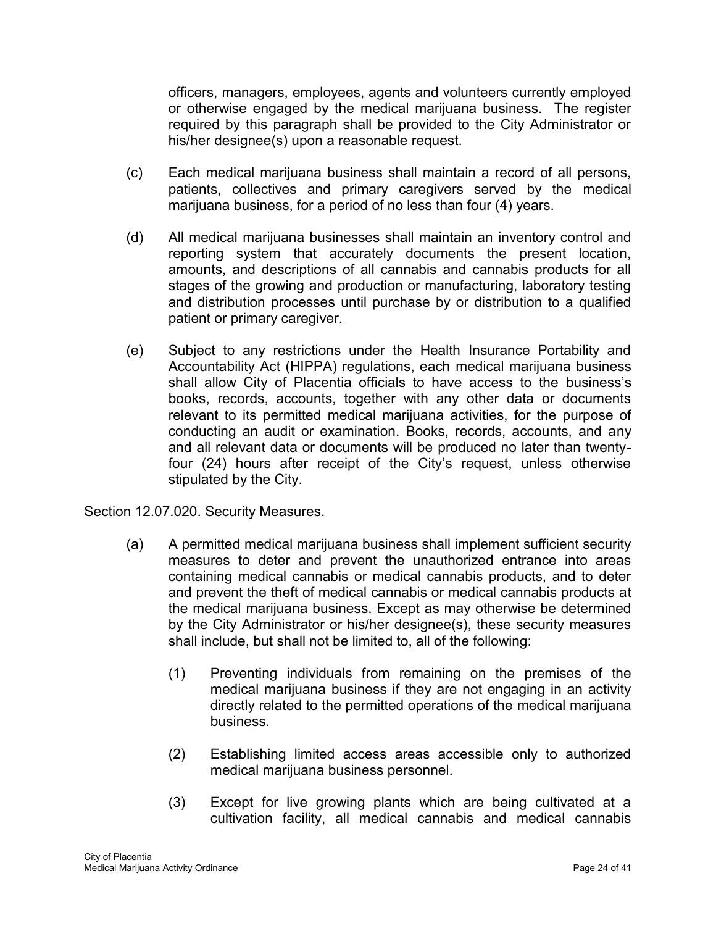officers, managers, employees, agents and volunteers currently employed or otherwise engaged by the medical marijuana business. The register required by this paragraph shall be provided to the City Administrator or his/her designee(s) upon a reasonable request.

- (c) Each medical marijuana business shall maintain a record of all persons, patients, collectives and primary caregivers served by the medical marijuana business, for a period of no less than four (4) years.
- (d) All medical marijuana businesses shall maintain an inventory control and reporting system that accurately documents the present location, amounts, and descriptions of all cannabis and cannabis products for all stages of the growing and production or manufacturing, laboratory testing and distribution processes until purchase by or distribution to a qualified patient or primary caregiver.
- (e) Subject to any restrictions under the Health Insurance Portability and Accountability Act (HIPPA) regulations, each medical marijuana business shall allow City of Placentia officials to have access to the business's books, records, accounts, together with any other data or documents relevant to its permitted medical marijuana activities, for the purpose of conducting an audit or examination. Books, records, accounts, and any and all relevant data or documents will be produced no later than twentyfour (24) hours after receipt of the City's request, unless otherwise stipulated by the City.

Section 12.07.020. Security Measures.

- (a) A permitted medical marijuana business shall implement sufficient security measures to deter and prevent the unauthorized entrance into areas containing medical cannabis or medical cannabis products, and to deter and prevent the theft of medical cannabis or medical cannabis products at the medical marijuana business. Except as may otherwise be determined by the City Administrator or his/her designee(s), these security measures shall include, but shall not be limited to, all of the following:
	- (1) Preventing individuals from remaining on the premises of the medical marijuana business if they are not engaging in an activity directly related to the permitted operations of the medical marijuana business.
	- (2) Establishing limited access areas accessible only to authorized medical marijuana business personnel.
	- (3) Except for live growing plants which are being cultivated at a cultivation facility, all medical cannabis and medical cannabis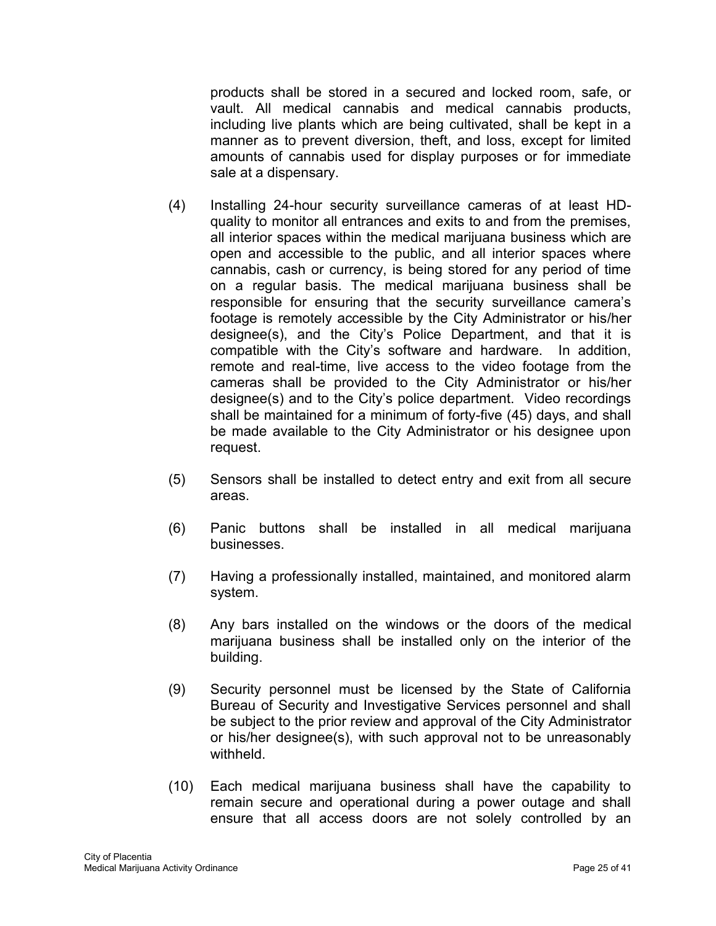products shall be stored in a secured and locked room, safe, or vault. All medical cannabis and medical cannabis products, including live plants which are being cultivated, shall be kept in a manner as to prevent diversion, theft, and loss, except for limited amounts of cannabis used for display purposes or for immediate sale at a dispensary.

- (4) Installing 24-hour security surveillance cameras of at least HDquality to monitor all entrances and exits to and from the premises, all interior spaces within the medical marijuana business which are open and accessible to the public, and all interior spaces where cannabis, cash or currency, is being stored for any period of time on a regular basis. The medical marijuana business shall be responsible for ensuring that the security surveillance camera's footage is remotely accessible by the City Administrator or his/her designee(s), and the City's Police Department, and that it is compatible with the City's software and hardware. In addition, remote and real-time, live access to the video footage from the cameras shall be provided to the City Administrator or his/her designee(s) and to the City's police department. Video recordings shall be maintained for a minimum of forty-five (45) days, and shall be made available to the City Administrator or his designee upon request.
- (5) Sensors shall be installed to detect entry and exit from all secure areas.
- (6) Panic buttons shall be installed in all medical marijuana businesses.
- (7) Having a professionally installed, maintained, and monitored alarm system.
- (8) Any bars installed on the windows or the doors of the medical marijuana business shall be installed only on the interior of the building.
- (9) Security personnel must be licensed by the State of California Bureau of Security and Investigative Services personnel and shall be subject to the prior review and approval of the City Administrator or his/her designee(s), with such approval not to be unreasonably withheld.
- (10) Each medical marijuana business shall have the capability to remain secure and operational during a power outage and shall ensure that all access doors are not solely controlled by an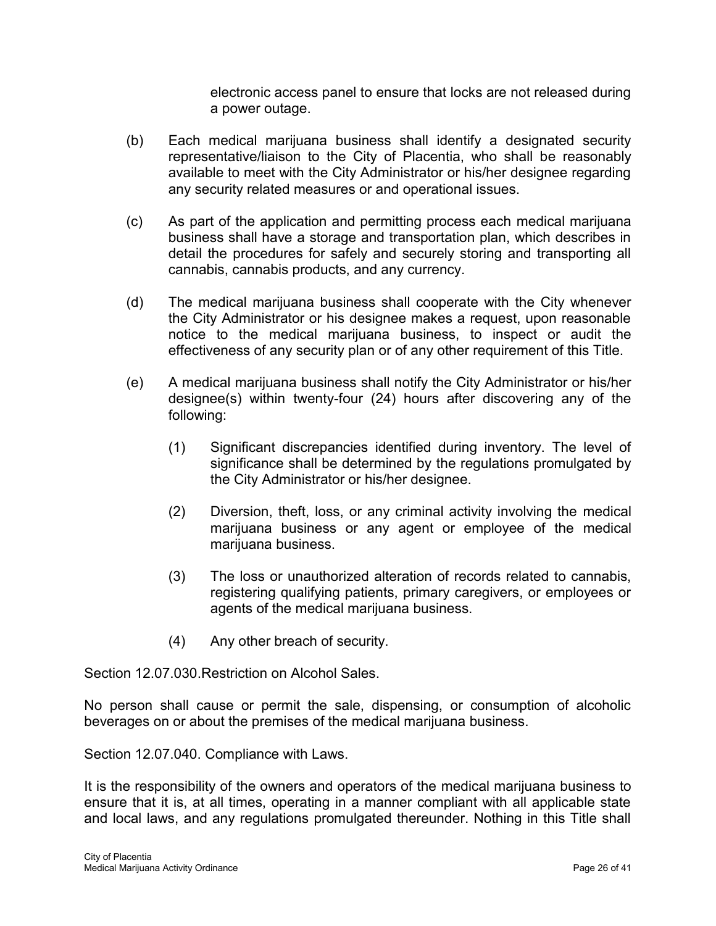electronic access panel to ensure that locks are not released during a power outage.

- (b) Each medical marijuana business shall identify a designated security representative/liaison to the City of Placentia, who shall be reasonably available to meet with the City Administrator or his/her designee regarding any security related measures or and operational issues.
- (c) As part of the application and permitting process each medical marijuana business shall have a storage and transportation plan, which describes in detail the procedures for safely and securely storing and transporting all cannabis, cannabis products, and any currency.
- (d) The medical marijuana business shall cooperate with the City whenever the City Administrator or his designee makes a request, upon reasonable notice to the medical marijuana business, to inspect or audit the effectiveness of any security plan or of any other requirement of this Title.
- (e) A medical marijuana business shall notify the City Administrator or his/her designee(s) within twenty-four (24) hours after discovering any of the following:
	- (1) Significant discrepancies identified during inventory. The level of significance shall be determined by the regulations promulgated by the City Administrator or his/her designee.
	- (2) Diversion, theft, loss, or any criminal activity involving the medical marijuana business or any agent or employee of the medical marijuana business.
	- (3) The loss or unauthorized alteration of records related to cannabis, registering qualifying patients, primary caregivers, or employees or agents of the medical marijuana business.
	- (4) Any other breach of security.

Section 12.07.030.Restriction on Alcohol Sales.

No person shall cause or permit the sale, dispensing, or consumption of alcoholic beverages on or about the premises of the medical marijuana business.

Section 12.07.040. Compliance with Laws.

It is the responsibility of the owners and operators of the medical marijuana business to ensure that it is, at all times, operating in a manner compliant with all applicable state and local laws, and any regulations promulgated thereunder. Nothing in this Title shall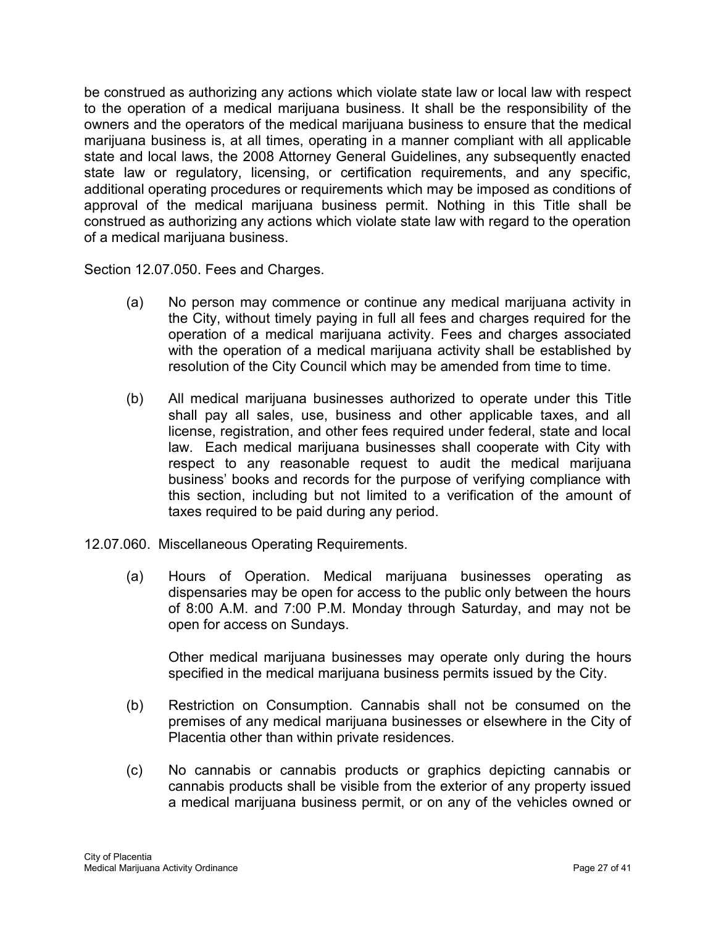be construed as authorizing any actions which violate state law or local law with respect to the operation of a medical marijuana business. It shall be the responsibility of the owners and the operators of the medical marijuana business to ensure that the medical marijuana business is, at all times, operating in a manner compliant with all applicable state and local laws, the 2008 Attorney General Guidelines, any subsequently enacted state law or regulatory, licensing, or certification requirements, and any specific, additional operating procedures or requirements which may be imposed as conditions of approval of the medical marijuana business permit. Nothing in this Title shall be construed as authorizing any actions which violate state law with regard to the operation of a medical marijuana business.

Section 12.07.050. Fees and Charges.

- (a) No person may commence or continue any medical marijuana activity in the City, without timely paying in full all fees and charges required for the operation of a medical marijuana activity. Fees and charges associated with the operation of a medical marijuana activity shall be established by resolution of the City Council which may be amended from time to time.
- (b) All medical marijuana businesses authorized to operate under this Title shall pay all sales, use, business and other applicable taxes, and all license, registration, and other fees required under federal, state and local law. Each medical marijuana businesses shall cooperate with City with respect to any reasonable request to audit the medical marijuana business' books and records for the purpose of verifying compliance with this section, including but not limited to a verification of the amount of taxes required to be paid during any period.
- 12.07.060. Miscellaneous Operating Requirements.
	- (a) Hours of Operation. Medical marijuana businesses operating as dispensaries may be open for access to the public only between the hours of 8:00 A.M. and 7:00 P.M. Monday through Saturday, and may not be open for access on Sundays.

Other medical marijuana businesses may operate only during the hours specified in the medical marijuana business permits issued by the City.

- (b) Restriction on Consumption. Cannabis shall not be consumed on the premises of any medical marijuana businesses or elsewhere in the City of Placentia other than within private residences.
- (c) No cannabis or cannabis products or graphics depicting cannabis or cannabis products shall be visible from the exterior of any property issued a medical marijuana business permit, or on any of the vehicles owned or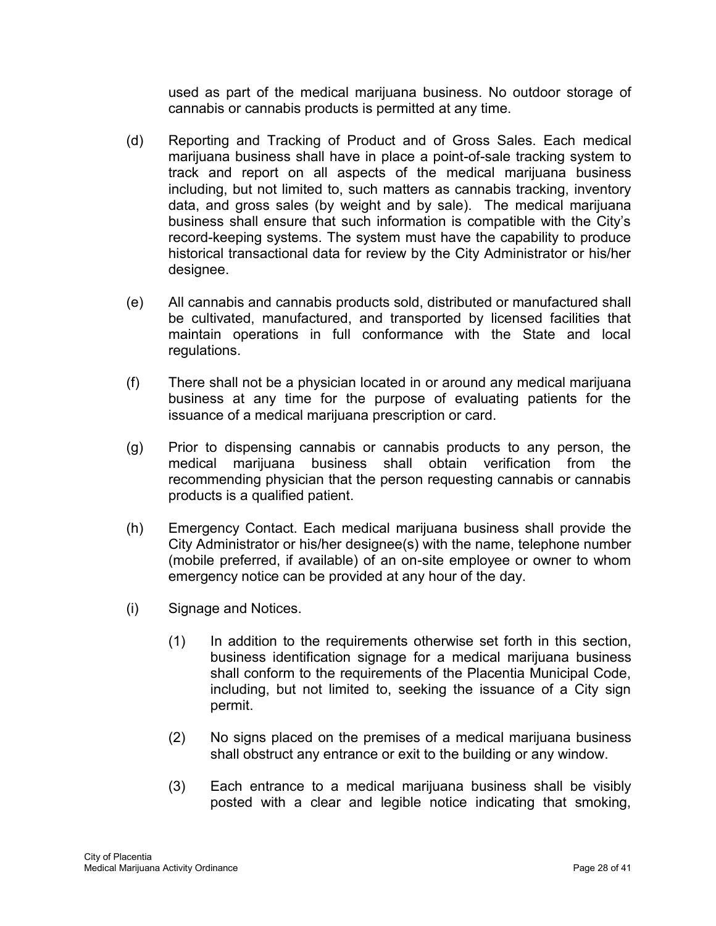used as part of the medical marijuana business. No outdoor storage of cannabis or cannabis products is permitted at any time.

- (d) Reporting and Tracking of Product and of Gross Sales. Each medical marijuana business shall have in place a point-of-sale tracking system to track and report on all aspects of the medical marijuana business including, but not limited to, such matters as cannabis tracking, inventory data, and gross sales (by weight and by sale). The medical marijuana business shall ensure that such information is compatible with the City's record-keeping systems. The system must have the capability to produce historical transactional data for review by the City Administrator or his/her designee.
- (e) All cannabis and cannabis products sold, distributed or manufactured shall be cultivated, manufactured, and transported by licensed facilities that maintain operations in full conformance with the State and local regulations.
- (f) There shall not be a physician located in or around any medical marijuana business at any time for the purpose of evaluating patients for the issuance of a medical marijuana prescription or card.
- (g) Prior to dispensing cannabis or cannabis products to any person, the medical marijuana business shall obtain verification from the recommending physician that the person requesting cannabis or cannabis products is a qualified patient.
- (h) Emergency Contact. Each medical marijuana business shall provide the City Administrator or his/her designee(s) with the name, telephone number (mobile preferred, if available) of an on-site employee or owner to whom emergency notice can be provided at any hour of the day.
- (i) Signage and Notices.
	- (1) In addition to the requirements otherwise set forth in this section, business identification signage for a medical marijuana business shall conform to the requirements of the Placentia Municipal Code, including, but not limited to, seeking the issuance of a City sign permit.
	- (2) No signs placed on the premises of a medical marijuana business shall obstruct any entrance or exit to the building or any window.
	- (3) Each entrance to a medical marijuana business shall be visibly posted with a clear and legible notice indicating that smoking,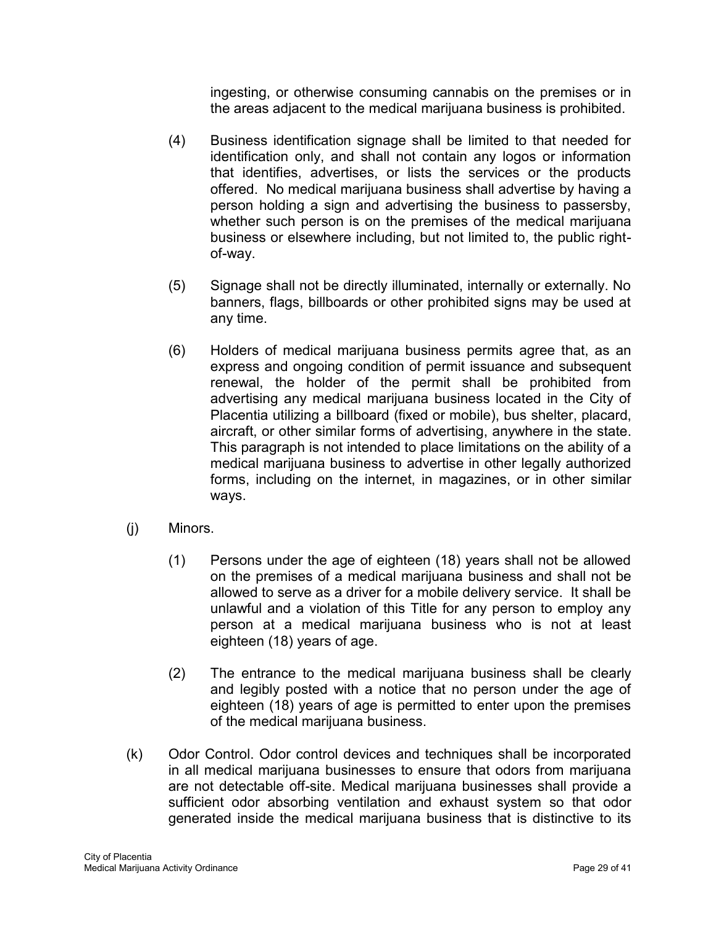ingesting, or otherwise consuming cannabis on the premises or in the areas adjacent to the medical marijuana business is prohibited.

- (4) Business identification signage shall be limited to that needed for identification only, and shall not contain any logos or information that identifies, advertises, or lists the services or the products offered. No medical marijuana business shall advertise by having a person holding a sign and advertising the business to passersby, whether such person is on the premises of the medical marijuana business or elsewhere including, but not limited to, the public rightof-way.
- (5) Signage shall not be directly illuminated, internally or externally. No banners, flags, billboards or other prohibited signs may be used at any time.
- (6) Holders of medical marijuana business permits agree that, as an express and ongoing condition of permit issuance and subsequent renewal, the holder of the permit shall be prohibited from advertising any medical marijuana business located in the City of Placentia utilizing a billboard (fixed or mobile), bus shelter, placard, aircraft, or other similar forms of advertising, anywhere in the state. This paragraph is not intended to place limitations on the ability of a medical marijuana business to advertise in other legally authorized forms, including on the internet, in magazines, or in other similar ways.
- (j) Minors.
	- (1) Persons under the age of eighteen (18) years shall not be allowed on the premises of a medical marijuana business and shall not be allowed to serve as a driver for a mobile delivery service. It shall be unlawful and a violation of this Title for any person to employ any person at a medical marijuana business who is not at least eighteen (18) years of age.
	- (2) The entrance to the medical marijuana business shall be clearly and legibly posted with a notice that no person under the age of eighteen (18) years of age is permitted to enter upon the premises of the medical marijuana business.
- (k) Odor Control. Odor control devices and techniques shall be incorporated in all medical marijuana businesses to ensure that odors from marijuana are not detectable off-site. Medical marijuana businesses shall provide a sufficient odor absorbing ventilation and exhaust system so that odor generated inside the medical marijuana business that is distinctive to its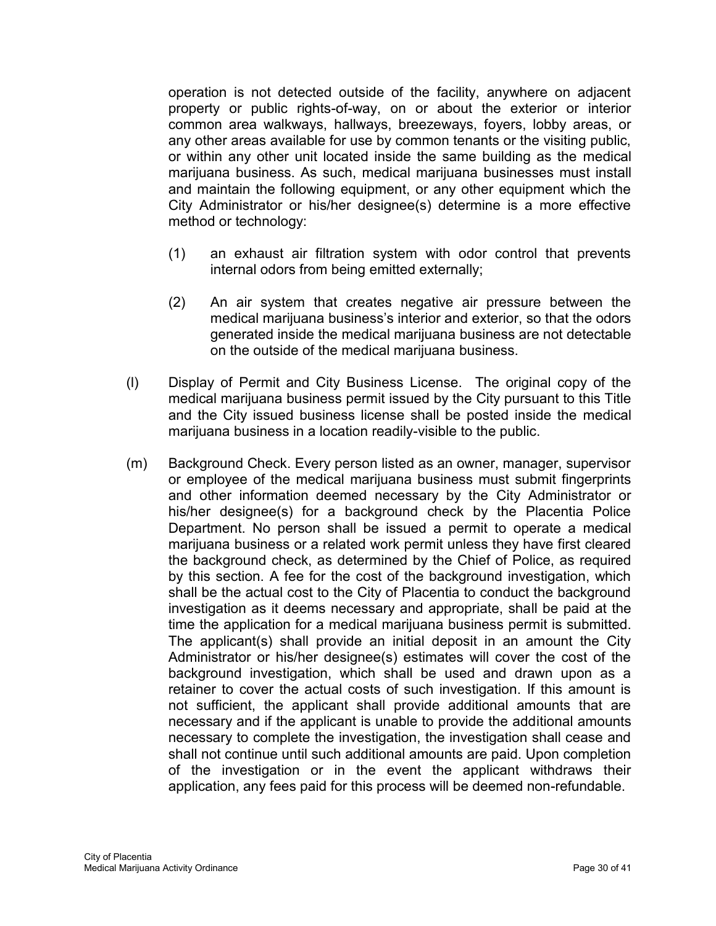operation is not detected outside of the facility, anywhere on adjacent property or public rights-of-way, on or about the exterior or interior common area walkways, hallways, breezeways, foyers, lobby areas, or any other areas available for use by common tenants or the visiting public, or within any other unit located inside the same building as the medical marijuana business. As such, medical marijuana businesses must install and maintain the following equipment, or any other equipment which the City Administrator or his/her designee(s) determine is a more effective method or technology:

- (1) an exhaust air filtration system with odor control that prevents internal odors from being emitted externally;
- (2) An air system that creates negative air pressure between the medical marijuana business's interior and exterior, so that the odors generated inside the medical marijuana business are not detectable on the outside of the medical marijuana business.
- (l) Display of Permit and City Business License. The original copy of the medical marijuana business permit issued by the City pursuant to this Title and the City issued business license shall be posted inside the medical marijuana business in a location readily-visible to the public.
- (m) Background Check. Every person listed as an owner, manager, supervisor or employee of the medical marijuana business must submit fingerprints and other information deemed necessary by the City Administrator or his/her designee(s) for a background check by the Placentia Police Department. No person shall be issued a permit to operate a medical marijuana business or a related work permit unless they have first cleared the background check, as determined by the Chief of Police, as required by this section. A fee for the cost of the background investigation, which shall be the actual cost to the City of Placentia to conduct the background investigation as it deems necessary and appropriate, shall be paid at the time the application for a medical marijuana business permit is submitted. The applicant(s) shall provide an initial deposit in an amount the City Administrator or his/her designee(s) estimates will cover the cost of the background investigation, which shall be used and drawn upon as a retainer to cover the actual costs of such investigation. If this amount is not sufficient, the applicant shall provide additional amounts that are necessary and if the applicant is unable to provide the additional amounts necessary to complete the investigation, the investigation shall cease and shall not continue until such additional amounts are paid. Upon completion of the investigation or in the event the applicant withdraws their application, any fees paid for this process will be deemed non-refundable.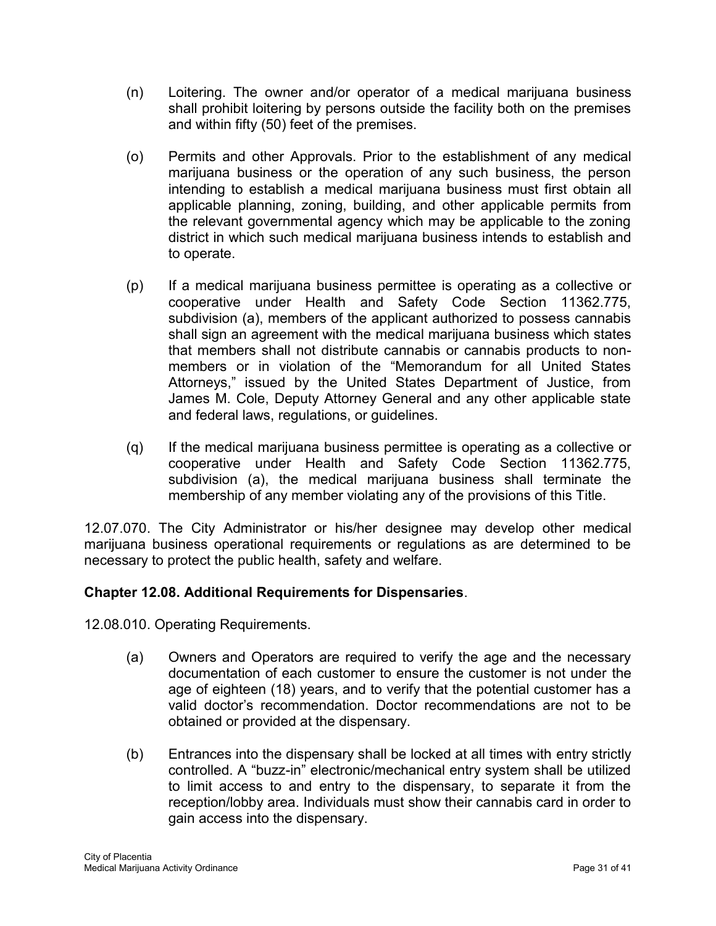- (n) Loitering. The owner and/or operator of a medical marijuana business shall prohibit loitering by persons outside the facility both on the premises and within fifty (50) feet of the premises.
- (o) Permits and other Approvals. Prior to the establishment of any medical marijuana business or the operation of any such business, the person intending to establish a medical marijuana business must first obtain all applicable planning, zoning, building, and other applicable permits from the relevant governmental agency which may be applicable to the zoning district in which such medical marijuana business intends to establish and to operate.
- (p) If a medical marijuana business permittee is operating as a collective or cooperative under Health and Safety Code Section 11362.775, subdivision (a), members of the applicant authorized to possess cannabis shall sign an agreement with the medical marijuana business which states that members shall not distribute cannabis or cannabis products to nonmembers or in violation of the "Memorandum for all United States Attorneys," issued by the United States Department of Justice, from James M. Cole, Deputy Attorney General and any other applicable state and federal laws, regulations, or guidelines.
- (q) If the medical marijuana business permittee is operating as a collective or cooperative under Health and Safety Code Section 11362.775, subdivision (a), the medical marijuana business shall terminate the membership of any member violating any of the provisions of this Title.

12.07.070. The City Administrator or his/her designee may develop other medical marijuana business operational requirements or regulations as are determined to be necessary to protect the public health, safety and welfare.

#### **Chapter 12.08. Additional Requirements for Dispensaries**.

12.08.010. Operating Requirements.

- (a) Owners and Operators are required to verify the age and the necessary documentation of each customer to ensure the customer is not under the age of eighteen (18) years, and to verify that the potential customer has a valid doctor's recommendation. Doctor recommendations are not to be obtained or provided at the dispensary.
- (b) Entrances into the dispensary shall be locked at all times with entry strictly controlled. A "buzz-in" electronic/mechanical entry system shall be utilized to limit access to and entry to the dispensary, to separate it from the reception/lobby area. Individuals must show their cannabis card in order to gain access into the dispensary.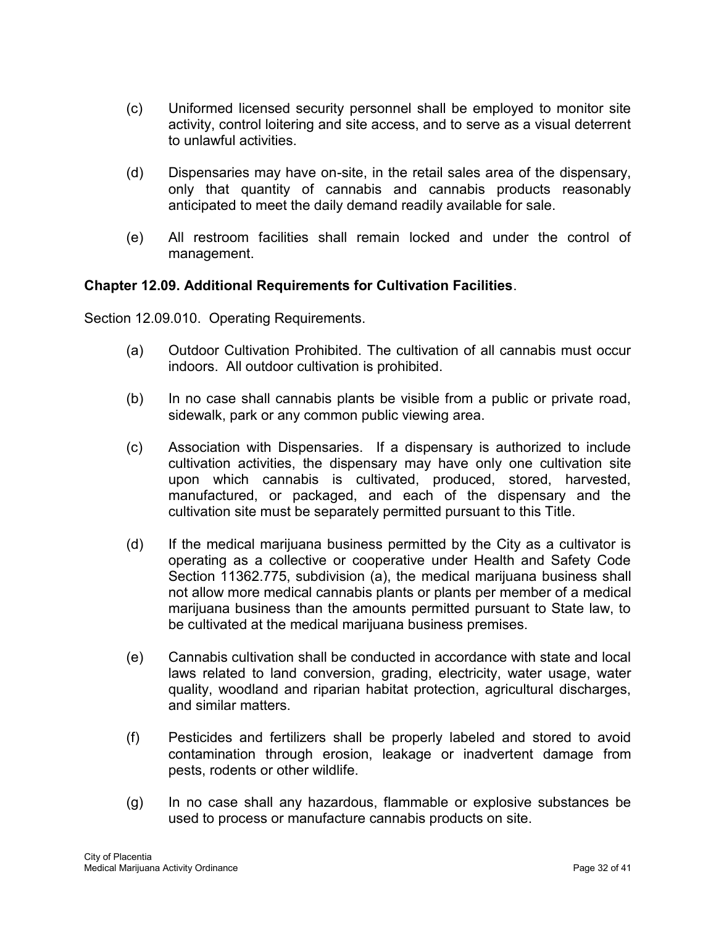- (c) Uniformed licensed security personnel shall be employed to monitor site activity, control loitering and site access, and to serve as a visual deterrent to unlawful activities.
- (d) Dispensaries may have on-site, in the retail sales area of the dispensary, only that quantity of cannabis and cannabis products reasonably anticipated to meet the daily demand readily available for sale.
- (e) All restroom facilities shall remain locked and under the control of management.

#### **Chapter 12.09. Additional Requirements for Cultivation Facilities**.

Section 12.09.010. Operating Requirements.

- (a) Outdoor Cultivation Prohibited. The cultivation of all cannabis must occur indoors. All outdoor cultivation is prohibited.
- (b) In no case shall cannabis plants be visible from a public or private road, sidewalk, park or any common public viewing area.
- (c) Association with Dispensaries. If a dispensary is authorized to include cultivation activities, the dispensary may have only one cultivation site upon which cannabis is cultivated, produced, stored, harvested, manufactured, or packaged, and each of the dispensary and the cultivation site must be separately permitted pursuant to this Title.
- (d) If the medical marijuana business permitted by the City as a cultivator is operating as a collective or cooperative under Health and Safety Code Section 11362.775, subdivision (a), the medical marijuana business shall not allow more medical cannabis plants or plants per member of a medical marijuana business than the amounts permitted pursuant to State law, to be cultivated at the medical marijuana business premises.
- (e) Cannabis cultivation shall be conducted in accordance with state and local laws related to land conversion, grading, electricity, water usage, water quality, woodland and riparian habitat protection, agricultural discharges, and similar matters.
- (f) Pesticides and fertilizers shall be properly labeled and stored to avoid contamination through erosion, leakage or inadvertent damage from pests, rodents or other wildlife.
- (g) In no case shall any hazardous, flammable or explosive substances be used to process or manufacture cannabis products on site.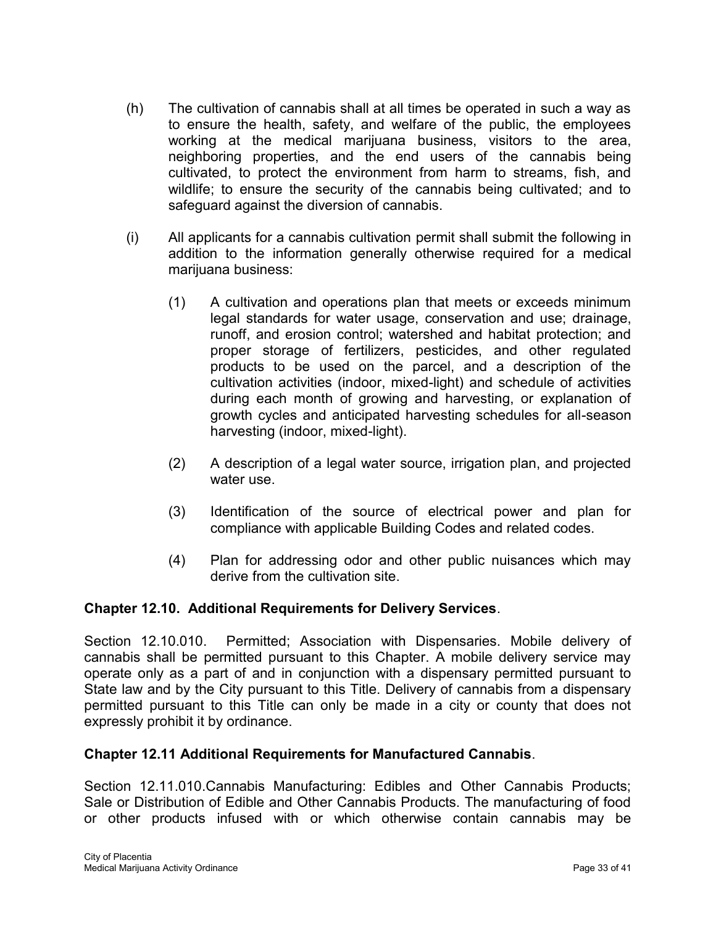- (h) The cultivation of cannabis shall at all times be operated in such a way as to ensure the health, safety, and welfare of the public, the employees working at the medical marijuana business, visitors to the area, neighboring properties, and the end users of the cannabis being cultivated, to protect the environment from harm to streams, fish, and wildlife; to ensure the security of the cannabis being cultivated; and to safeguard against the diversion of cannabis.
- (i) All applicants for a cannabis cultivation permit shall submit the following in addition to the information generally otherwise required for a medical marijuana business:
	- (1) A cultivation and operations plan that meets or exceeds minimum legal standards for water usage, conservation and use; drainage, runoff, and erosion control; watershed and habitat protection; and proper storage of fertilizers, pesticides, and other regulated products to be used on the parcel, and a description of the cultivation activities (indoor, mixed-light) and schedule of activities during each month of growing and harvesting, or explanation of growth cycles and anticipated harvesting schedules for all-season harvesting (indoor, mixed-light).
	- (2) A description of a legal water source, irrigation plan, and projected water use.
	- (3) Identification of the source of electrical power and plan for compliance with applicable Building Codes and related codes.
	- (4) Plan for addressing odor and other public nuisances which may derive from the cultivation site.

#### **Chapter 12.10. Additional Requirements for Delivery Services**.

Section 12.10.010. Permitted; Association with Dispensaries. Mobile delivery of cannabis shall be permitted pursuant to this Chapter. A mobile delivery service may operate only as a part of and in conjunction with a dispensary permitted pursuant to State law and by the City pursuant to this Title. Delivery of cannabis from a dispensary permitted pursuant to this Title can only be made in a city or county that does not expressly prohibit it by ordinance.

#### **Chapter 12.11 Additional Requirements for Manufactured Cannabis**.

Section 12.11.010.Cannabis Manufacturing: Edibles and Other Cannabis Products; Sale or Distribution of Edible and Other Cannabis Products. The manufacturing of food or other products infused with or which otherwise contain cannabis may be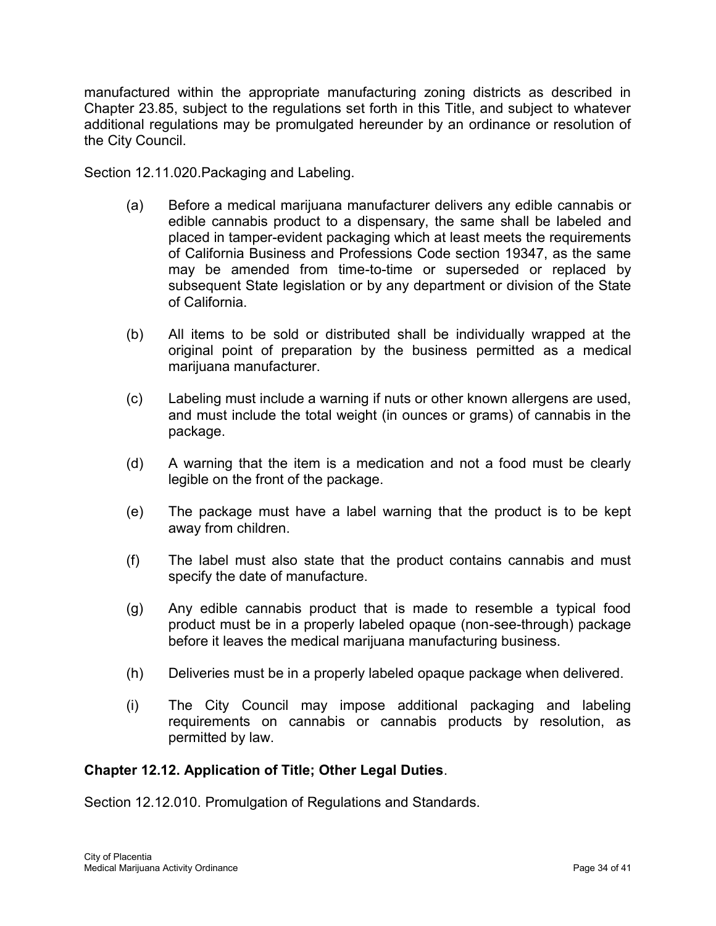manufactured within the appropriate manufacturing zoning districts as described in Chapter 23.85, subject to the regulations set forth in this Title, and subject to whatever additional regulations may be promulgated hereunder by an ordinance or resolution of the City Council.

Section 12.11.020.Packaging and Labeling.

- (a) Before a medical marijuana manufacturer delivers any edible cannabis or edible cannabis product to a dispensary, the same shall be labeled and placed in tamper-evident packaging which at least meets the requirements of California Business and Professions Code section 19347, as the same may be amended from time-to-time or superseded or replaced by subsequent State legislation or by any department or division of the State of California.
- (b) All items to be sold or distributed shall be individually wrapped at the original point of preparation by the business permitted as a medical marijuana manufacturer.
- (c) Labeling must include a warning if nuts or other known allergens are used, and must include the total weight (in ounces or grams) of cannabis in the package.
- (d) A warning that the item is a medication and not a food must be clearly legible on the front of the package.
- (e) The package must have a label warning that the product is to be kept away from children.
- (f) The label must also state that the product contains cannabis and must specify the date of manufacture.
- (g) Any edible cannabis product that is made to resemble a typical food product must be in a properly labeled opaque (non-see-through) package before it leaves the medical marijuana manufacturing business.
- (h) Deliveries must be in a properly labeled opaque package when delivered.
- (i) The City Council may impose additional packaging and labeling requirements on cannabis or cannabis products by resolution, as permitted by law.

# **Chapter 12.12. Application of Title; Other Legal Duties**.

Section 12.12.010. Promulgation of Regulations and Standards.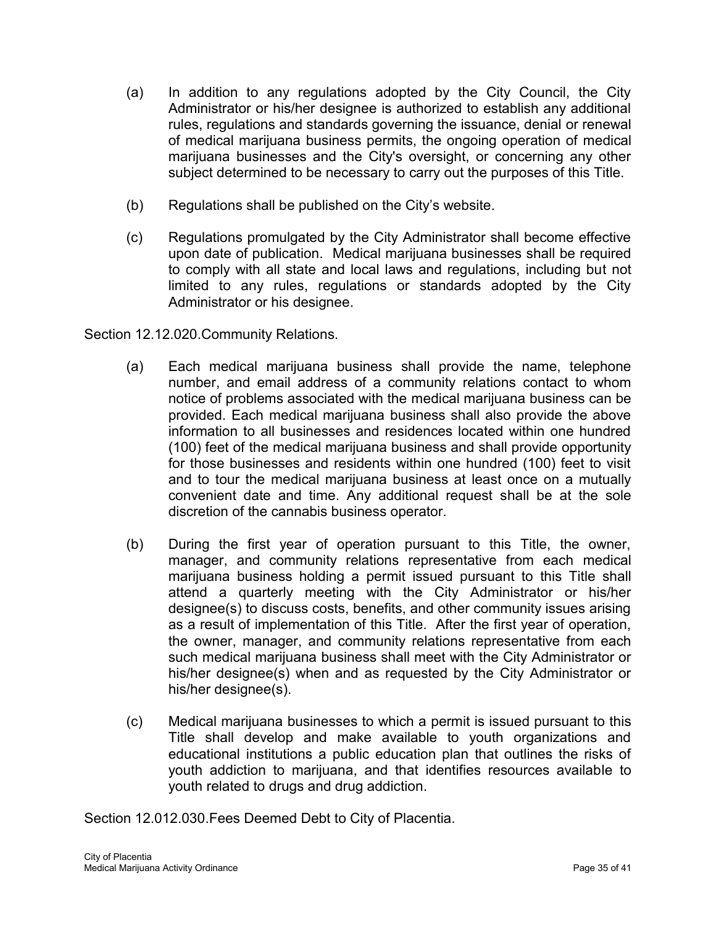- (a) In addition to any regulations adopted by the City Council, the City Administrator or his/her designee is authorized to establish any additional rules, regulations and standards governing the issuance, denial or renewal of medical marijuana business permits, the ongoing operation of medical marijuana businesses and the City's oversight, or concerning any other subject determined to be necessary to carry out the purposes of this Title.
- (b) Regulations shall be published on the City's website.
- (c) Regulations promulgated by the City Administrator shall become effective upon date of publication. Medical marijuana businesses shall be required to comply with all state and local laws and regulations, including but not limited to any rules, regulations or standards adopted by the City Administrator or his designee.

Section 12.12.020.Community Relations.

- (a) Each medical marijuana business shall provide the name, telephone number, and email address of a community relations contact to whom notice of problems associated with the medical marijuana business can be provided. Each medical marijuana business shall also provide the above information to all businesses and residences located within one hundred (100) feet of the medical marijuana business and shall provide opportunity for those businesses and residents within one hundred (100) feet to visit and to tour the medical marijuana business at least once on a mutually convenient date and time. Any additional request shall be at the sole discretion of the cannabis business operator.
- (b) During the first year of operation pursuant to this Title, the owner, manager, and community relations representative from each medical marijuana business holding a permit issued pursuant to this Title shall attend a quarterly meeting with the City Administrator or his/her designee(s) to discuss costs, benefits, and other community issues arising as a result of implementation of this Title. After the first year of operation, the owner, manager, and community relations representative from each such medical marijuana business shall meet with the City Administrator or his/her designee(s) when and as requested by the City Administrator or his/her designee(s).
- (c) Medical marijuana businesses to which a permit is issued pursuant to this Title shall develop and make available to youth organizations and educational institutions a public education plan that outlines the risks of youth addiction to marijuana, and that identifies resources available to youth related to drugs and drug addiction.

Section 12.012.030.Fees Deemed Debt to City of Placentia.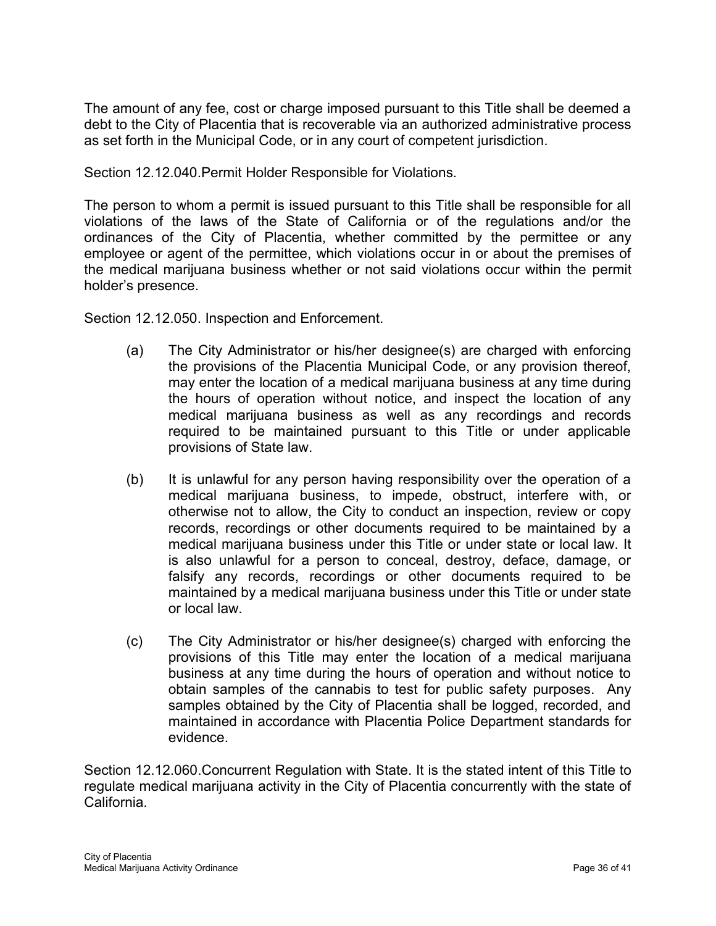The amount of any fee, cost or charge imposed pursuant to this Title shall be deemed a debt to the City of Placentia that is recoverable via an authorized administrative process as set forth in the Municipal Code, or in any court of competent jurisdiction.

Section 12.12.040.Permit Holder Responsible for Violations.

The person to whom a permit is issued pursuant to this Title shall be responsible for all violations of the laws of the State of California or of the regulations and/or the ordinances of the City of Placentia, whether committed by the permittee or any employee or agent of the permittee, which violations occur in or about the premises of the medical marijuana business whether or not said violations occur within the permit holder's presence.

Section 12.12.050. Inspection and Enforcement.

- (a) The City Administrator or his/her designee(s) are charged with enforcing the provisions of the Placentia Municipal Code, or any provision thereof, may enter the location of a medical marijuana business at any time during the hours of operation without notice, and inspect the location of any medical marijuana business as well as any recordings and records required to be maintained pursuant to this Title or under applicable provisions of State law.
- (b) It is unlawful for any person having responsibility over the operation of a medical marijuana business, to impede, obstruct, interfere with, or otherwise not to allow, the City to conduct an inspection, review or copy records, recordings or other documents required to be maintained by a medical marijuana business under this Title or under state or local law. It is also unlawful for a person to conceal, destroy, deface, damage, or falsify any records, recordings or other documents required to be maintained by a medical marijuana business under this Title or under state or local law.
- (c) The City Administrator or his/her designee(s) charged with enforcing the provisions of this Title may enter the location of a medical marijuana business at any time during the hours of operation and without notice to obtain samples of the cannabis to test for public safety purposes. Any samples obtained by the City of Placentia shall be logged, recorded, and maintained in accordance with Placentia Police Department standards for evidence.

Section 12.12.060.Concurrent Regulation with State. It is the stated intent of this Title to regulate medical marijuana activity in the City of Placentia concurrently with the state of California.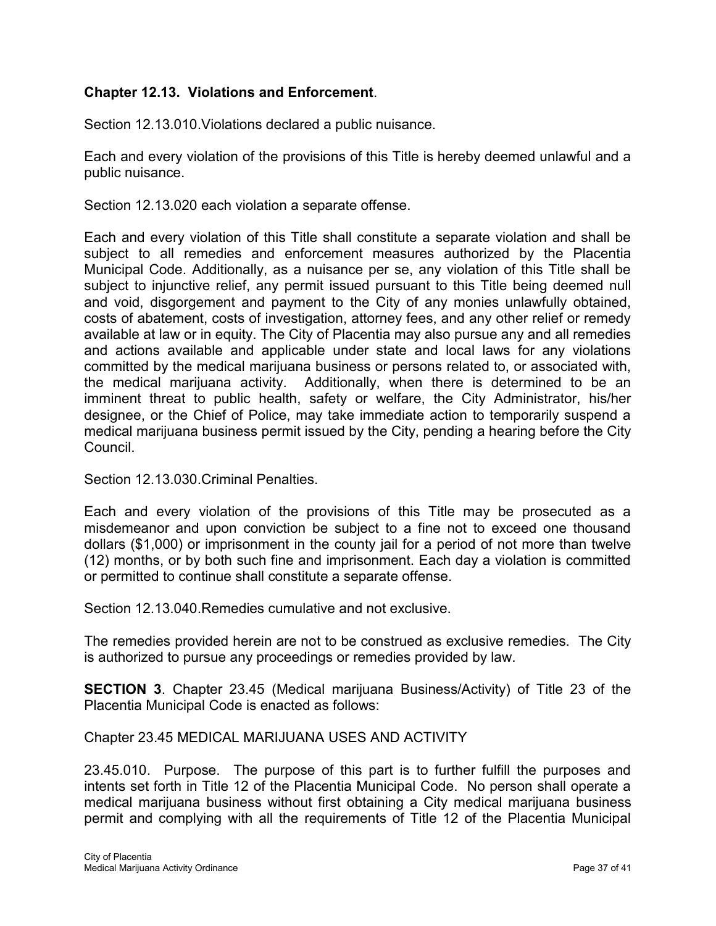#### **Chapter 12.13. Violations and Enforcement**.

Section 12.13.010.Violations declared a public nuisance.

Each and every violation of the provisions of this Title is hereby deemed unlawful and a public nuisance.

Section 12.13.020 each violation a separate offense.

Each and every violation of this Title shall constitute a separate violation and shall be subject to all remedies and enforcement measures authorized by the Placentia Municipal Code. Additionally, as a nuisance per se, any violation of this Title shall be subject to injunctive relief, any permit issued pursuant to this Title being deemed null and void, disgorgement and payment to the City of any monies unlawfully obtained, costs of abatement, costs of investigation, attorney fees, and any other relief or remedy available at law or in equity. The City of Placentia may also pursue any and all remedies and actions available and applicable under state and local laws for any violations committed by the medical marijuana business or persons related to, or associated with, the medical marijuana activity. Additionally, when there is determined to be an imminent threat to public health, safety or welfare, the City Administrator, his/her designee, or the Chief of Police, may take immediate action to temporarily suspend a medical marijuana business permit issued by the City, pending a hearing before the City Council.

Section 12.13.030 Criminal Penalties

Each and every violation of the provisions of this Title may be prosecuted as a misdemeanor and upon conviction be subject to a fine not to exceed one thousand dollars (\$1,000) or imprisonment in the county jail for a period of not more than twelve (12) months, or by both such fine and imprisonment. Each day a violation is committed or permitted to continue shall constitute a separate offense.

Section 12.13.040.Remedies cumulative and not exclusive.

The remedies provided herein are not to be construed as exclusive remedies. The City is authorized to pursue any proceedings or remedies provided by law.

**SECTION 3**. Chapter 23.45 (Medical marijuana Business/Activity) of Title 23 of the Placentia Municipal Code is enacted as follows:

Chapter 23.45 MEDICAL MARIJUANA USES AND ACTIVITY

23.45.010. Purpose. The purpose of this part is to further fulfill the purposes and intents set forth in Title 12 of the Placentia Municipal Code. No person shall operate a medical marijuana business without first obtaining a City medical marijuana business permit and complying with all the requirements of Title 12 of the Placentia Municipal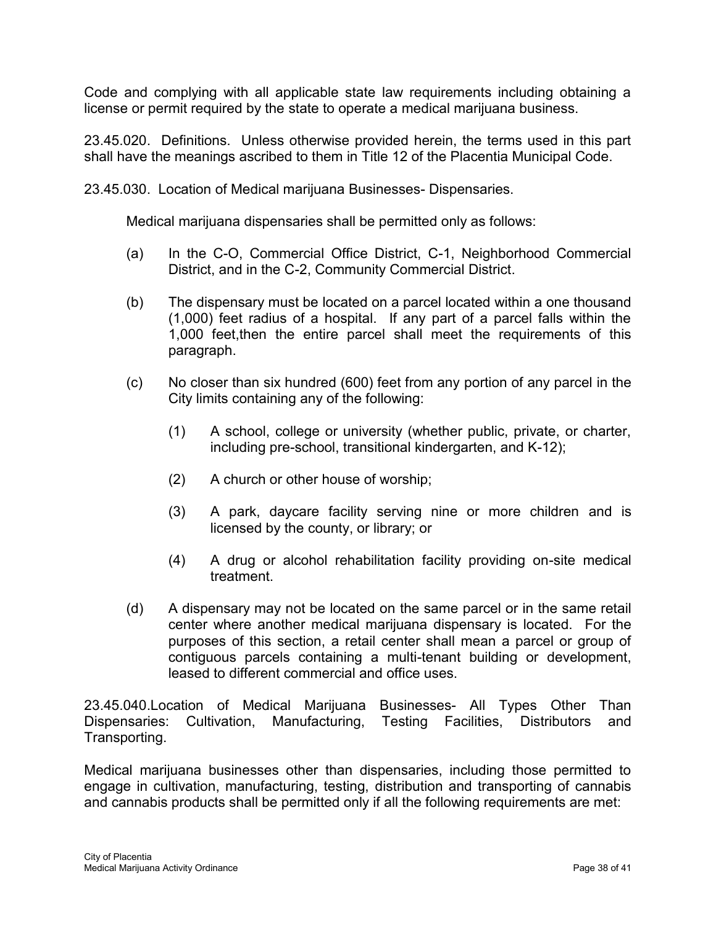Code and complying with all applicable state law requirements including obtaining a license or permit required by the state to operate a medical marijuana business.

23.45.020. Definitions. Unless otherwise provided herein, the terms used in this part shall have the meanings ascribed to them in Title 12 of the Placentia Municipal Code.

23.45.030. Location of Medical marijuana Businesses- Dispensaries.

Medical marijuana dispensaries shall be permitted only as follows:

- (a) In the C-O, Commercial Office District, C-1, Neighborhood Commercial District, and in the C-2, Community Commercial District.
- (b) The dispensary must be located on a parcel located within a one thousand (1,000) feet radius of a hospital. If any part of a parcel falls within the 1,000 feet,then the entire parcel shall meet the requirements of this paragraph.
- (c) No closer than six hundred (600) feet from any portion of any parcel in the City limits containing any of the following:
	- (1) A school, college or university (whether public, private, or charter, including pre-school, transitional kindergarten, and K-12);
	- (2) A church or other house of worship;
	- (3) A park, daycare facility serving nine or more children and is licensed by the county, or library; or
	- (4) A drug or alcohol rehabilitation facility providing on-site medical treatment.
- (d) A dispensary may not be located on the same parcel or in the same retail center where another medical marijuana dispensary is located. For the purposes of this section, a retail center shall mean a parcel or group of contiguous parcels containing a multi-tenant building or development, leased to different commercial and office uses.

23.45.040.Location of Medical Marijuana Businesses- All Types Other Than Dispensaries: Cultivation, Manufacturing, Testing Facilities, Distributors and Transporting.

Medical marijuana businesses other than dispensaries, including those permitted to engage in cultivation, manufacturing, testing, distribution and transporting of cannabis and cannabis products shall be permitted only if all the following requirements are met: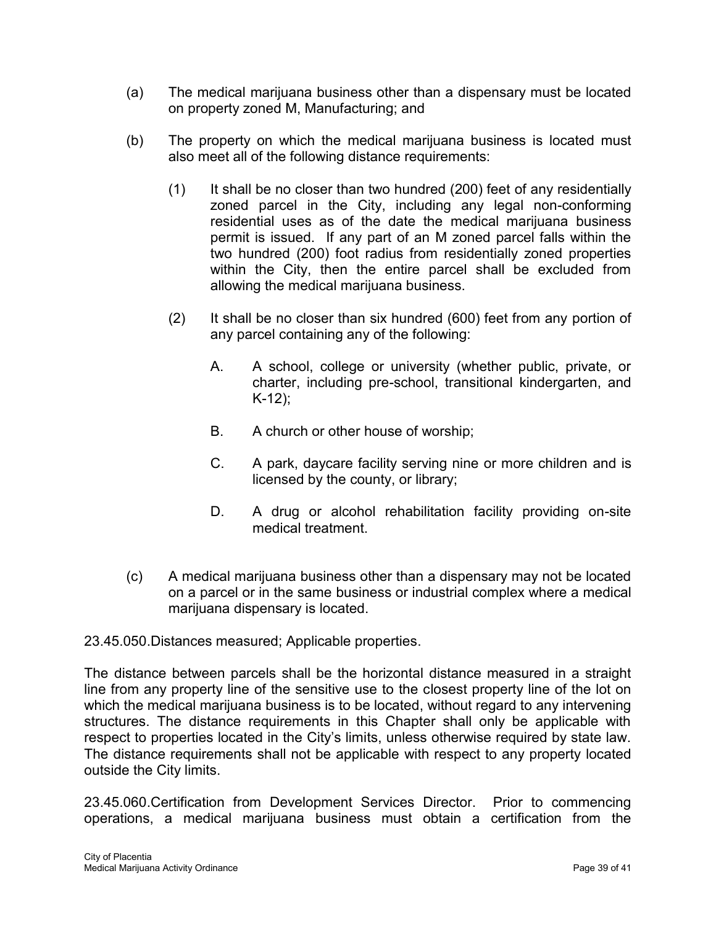- (a) The medical marijuana business other than a dispensary must be located on property zoned M, Manufacturing; and
- (b) The property on which the medical marijuana business is located must also meet all of the following distance requirements:
	- (1) It shall be no closer than two hundred (200) feet of any residentially zoned parcel in the City, including any legal non-conforming residential uses as of the date the medical marijuana business permit is issued. If any part of an M zoned parcel falls within the two hundred (200) foot radius from residentially zoned properties within the City, then the entire parcel shall be excluded from allowing the medical marijuana business.
	- (2) It shall be no closer than six hundred (600) feet from any portion of any parcel containing any of the following:
		- A. A school, college or university (whether public, private, or charter, including pre-school, transitional kindergarten, and  $K-12$ ;
		- B. A church or other house of worship;
		- C. A park, daycare facility serving nine or more children and is licensed by the county, or library;
		- D. A drug or alcohol rehabilitation facility providing on-site medical treatment.
- (c) A medical marijuana business other than a dispensary may not be located on a parcel or in the same business or industrial complex where a medical marijuana dispensary is located.

23.45.050.Distances measured; Applicable properties.

The distance between parcels shall be the horizontal distance measured in a straight line from any property line of the sensitive use to the closest property line of the lot on which the medical marijuana business is to be located, without regard to any intervening structures. The distance requirements in this Chapter shall only be applicable with respect to properties located in the City's limits, unless otherwise required by state law. The distance requirements shall not be applicable with respect to any property located outside the City limits.

23.45.060.Certification from Development Services Director. Prior to commencing operations, a medical marijuana business must obtain a certification from the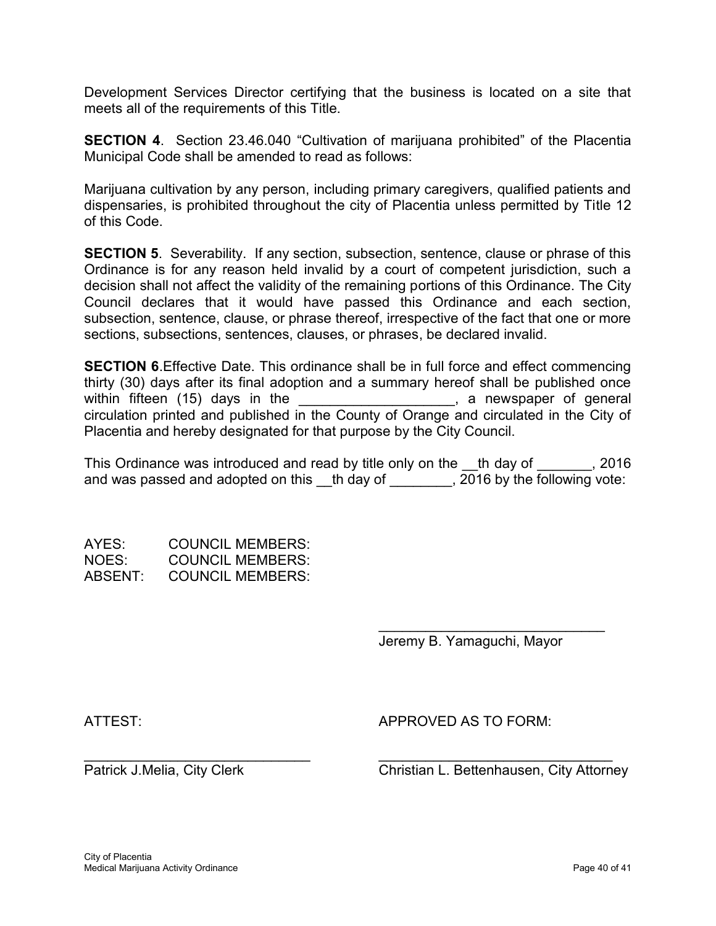Development Services Director certifying that the business is located on a site that meets all of the requirements of this Title.

**SECTION 4**. Section 23.46.040 "Cultivation of marijuana prohibited" of the Placentia Municipal Code shall be amended to read as follows:

Marijuana cultivation by any person, including primary caregivers, qualified patients and dispensaries, is prohibited throughout the city of Placentia unless permitted by Title 12 of this Code.

**SECTION 5**. Severability. If any section, subsection, sentence, clause or phrase of this Ordinance is for any reason held invalid by a court of competent jurisdiction, such a decision shall not affect the validity of the remaining portions of this Ordinance. The City Council declares that it would have passed this Ordinance and each section, subsection, sentence, clause, or phrase thereof, irrespective of the fact that one or more sections, subsections, sentences, clauses, or phrases, be declared invalid.

**SECTION 6.** Effective Date. This ordinance shall be in full force and effect commencing thirty (30) days after its final adoption and a summary hereof shall be published once within fifteen (15) days in the \_\_\_\_\_\_\_\_\_\_\_\_\_\_\_\_\_\_\_\_\_, a newspaper of general circulation printed and published in the County of Orange and circulated in the City of Placentia and hereby designated for that purpose by the City Council.

This Ordinance was introduced and read by title only on the the day of This Ordinance was introduced and read by title only on the the day of and was passed and adopted on this  $\frac{1}{10}$  th day of  $\frac{1}{2016}$  by the following vote:

| AYES:   | <b>COUNCIL MEMBERS:</b> |
|---------|-------------------------|
| NOES:   | COUNCIL MEMBERS:        |
| ABSENT: | <b>COUNCIL MEMBERS:</b> |

 $\overline{\phantom{a}}$  , where  $\overline{\phantom{a}}$  , where  $\overline{\phantom{a}}$  ,  $\overline{\phantom{a}}$  ,  $\overline{\phantom{a}}$  ,  $\overline{\phantom{a}}$  ,  $\overline{\phantom{a}}$  ,  $\overline{\phantom{a}}$  ,  $\overline{\phantom{a}}$  ,  $\overline{\phantom{a}}$  ,  $\overline{\phantom{a}}$  ,  $\overline{\phantom{a}}$  ,  $\overline{\phantom{a}}$  ,  $\overline{\phantom{a}}$  ,  $\overline{\phantom{a}}$  , Jeremy B. Yamaguchi, Mayor

ATTEST: APPROVED AS TO FORM:

 $\overline{\phantom{a}}$  , and the contribution of the contribution of the contribution of the contribution of the contribution of the contribution of the contribution of the contribution of the contribution of the contribution of the

Patrick J.Melia, City Clerk Christian L. Bettenhausen, City Attorney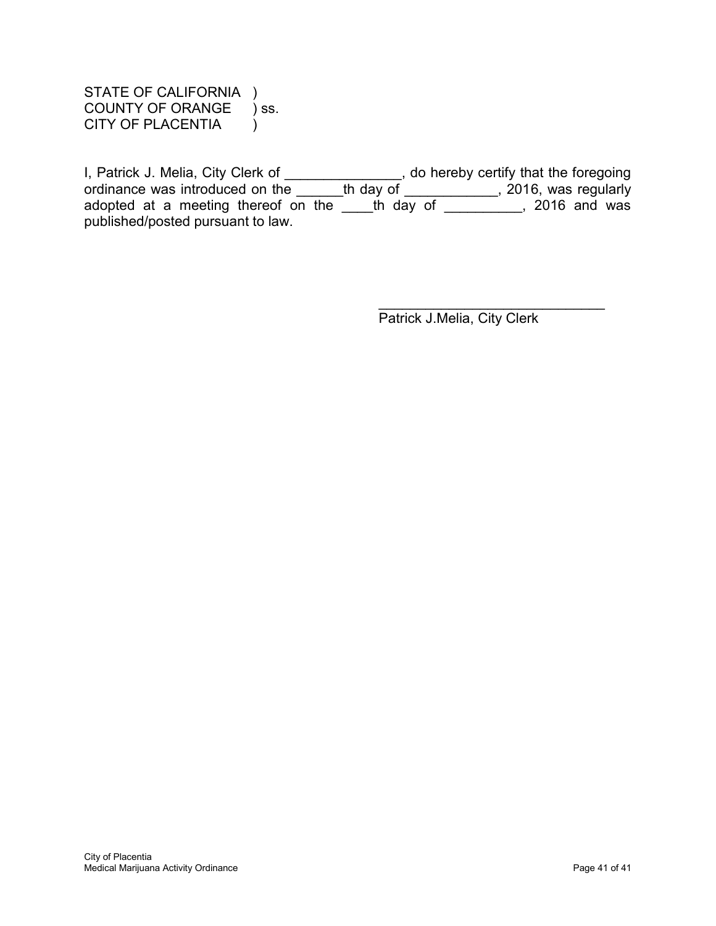STATE OF CALIFORNIA ) COUNTY OF ORANGE ) ss. CITY OF PLACENTIA )

I, Patrick J. Melia, City Clerk of \_\_\_\_\_\_\_\_\_\_\_\_\_\_\_, do hereby certify that the foregoing ordinance was introduced on the \_\_\_\_\_\_th day of \_\_\_\_\_\_\_\_\_\_\_\_, 2016, was regularly adopted at a meeting thereof on the \_\_\_\_th day of \_\_\_\_\_\_\_\_\_, 2016 and was published/posted pursuant to law.

> $\overline{\phantom{a}}$  , where  $\overline{\phantom{a}}$  , where  $\overline{\phantom{a}}$  ,  $\overline{\phantom{a}}$  ,  $\overline{\phantom{a}}$  ,  $\overline{\phantom{a}}$  ,  $\overline{\phantom{a}}$  ,  $\overline{\phantom{a}}$  ,  $\overline{\phantom{a}}$  ,  $\overline{\phantom{a}}$  ,  $\overline{\phantom{a}}$  ,  $\overline{\phantom{a}}$  ,  $\overline{\phantom{a}}$  ,  $\overline{\phantom{a}}$  ,  $\overline{\phantom{a}}$  , Patrick J.Melia, City Clerk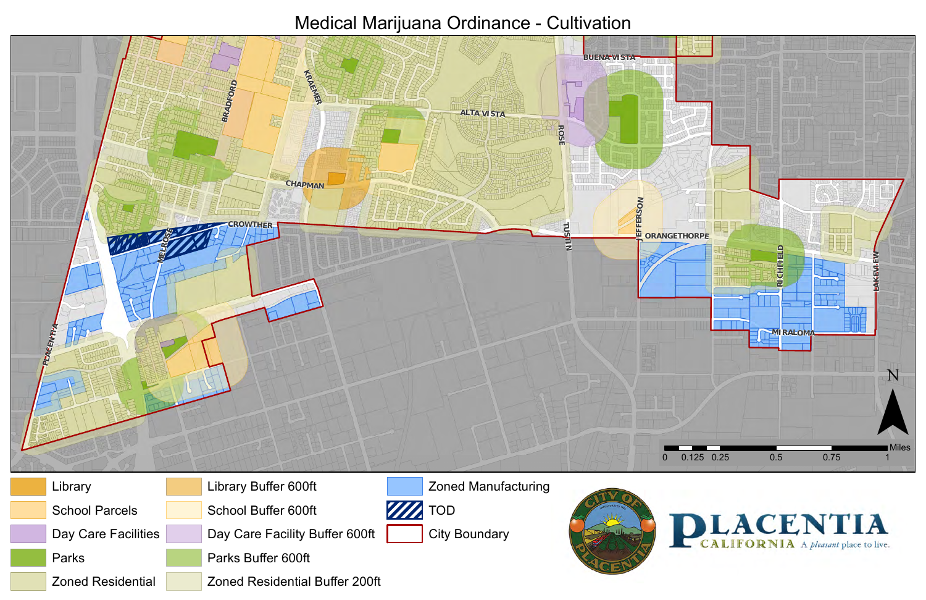# Medical Marijuana Ordinance - Cultivation



School Parcels Day Care Facilities Parks Zoned Residential

School Buffer 600ft

Day Care Facility Buffer 600ft

Parks Buffer 600ft

Zoned Residential Buffer 200ft





City Boundary